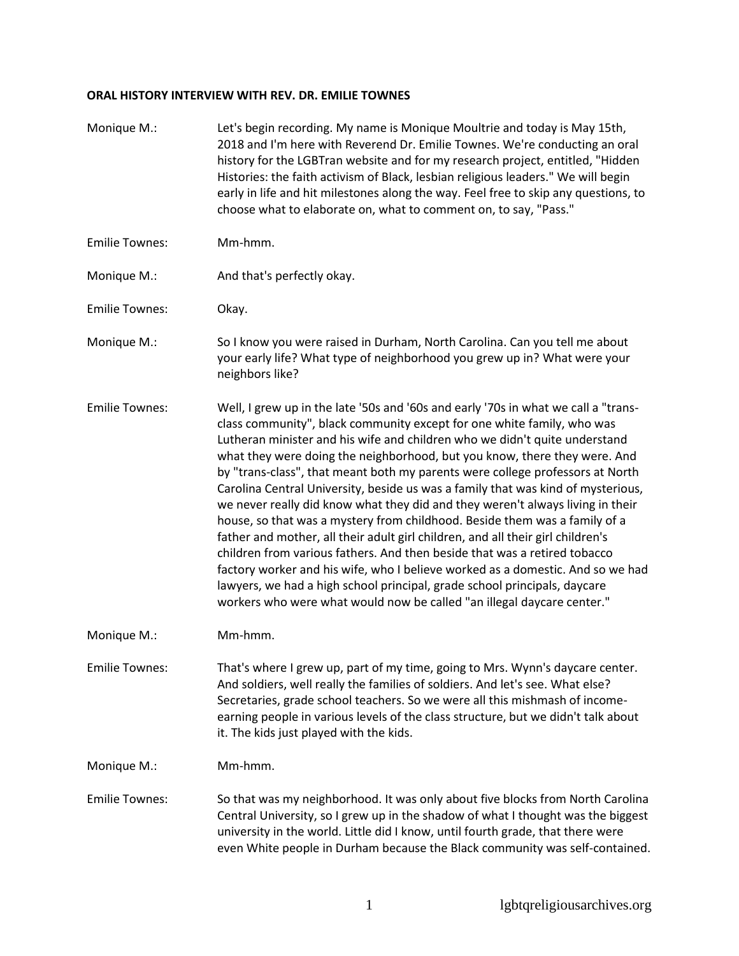## **ORAL HISTORY INTERVIEW WITH REV. DR. EMILIE TOWNES**

| Monique M.:           | Let's begin recording. My name is Monique Moultrie and today is May 15th,<br>2018 and I'm here with Reverend Dr. Emilie Townes. We're conducting an oral<br>history for the LGBTran website and for my research project, entitled, "Hidden<br>Histories: the faith activism of Black, lesbian religious leaders." We will begin<br>early in life and hit milestones along the way. Feel free to skip any questions, to<br>choose what to elaborate on, what to comment on, to say, "Pass."                                                                                                                                                                                                                                                                                                                                                                                                                                                                                                                                                                            |
|-----------------------|-----------------------------------------------------------------------------------------------------------------------------------------------------------------------------------------------------------------------------------------------------------------------------------------------------------------------------------------------------------------------------------------------------------------------------------------------------------------------------------------------------------------------------------------------------------------------------------------------------------------------------------------------------------------------------------------------------------------------------------------------------------------------------------------------------------------------------------------------------------------------------------------------------------------------------------------------------------------------------------------------------------------------------------------------------------------------|
| <b>Emilie Townes:</b> | Mm-hmm.                                                                                                                                                                                                                                                                                                                                                                                                                                                                                                                                                                                                                                                                                                                                                                                                                                                                                                                                                                                                                                                               |
| Monique M.:           | And that's perfectly okay.                                                                                                                                                                                                                                                                                                                                                                                                                                                                                                                                                                                                                                                                                                                                                                                                                                                                                                                                                                                                                                            |
| <b>Emilie Townes:</b> | Okay.                                                                                                                                                                                                                                                                                                                                                                                                                                                                                                                                                                                                                                                                                                                                                                                                                                                                                                                                                                                                                                                                 |
| Monique M.:           | So I know you were raised in Durham, North Carolina. Can you tell me about<br>your early life? What type of neighborhood you grew up in? What were your<br>neighbors like?                                                                                                                                                                                                                                                                                                                                                                                                                                                                                                                                                                                                                                                                                                                                                                                                                                                                                            |
| <b>Emilie Townes:</b> | Well, I grew up in the late '50s and '60s and early '70s in what we call a "trans-<br>class community", black community except for one white family, who was<br>Lutheran minister and his wife and children who we didn't quite understand<br>what they were doing the neighborhood, but you know, there they were. And<br>by "trans-class", that meant both my parents were college professors at North<br>Carolina Central University, beside us was a family that was kind of mysterious,<br>we never really did know what they did and they weren't always living in their<br>house, so that was a mystery from childhood. Beside them was a family of a<br>father and mother, all their adult girl children, and all their girl children's<br>children from various fathers. And then beside that was a retired tobacco<br>factory worker and his wife, who I believe worked as a domestic. And so we had<br>lawyers, we had a high school principal, grade school principals, daycare<br>workers who were what would now be called "an illegal daycare center." |
| Monique M.:           | Mm-hmm.                                                                                                                                                                                                                                                                                                                                                                                                                                                                                                                                                                                                                                                                                                                                                                                                                                                                                                                                                                                                                                                               |
| <b>Emilie Townes:</b> | That's where I grew up, part of my time, going to Mrs. Wynn's daycare center.<br>And soldiers, well really the families of soldiers. And let's see. What else?<br>Secretaries, grade school teachers. So we were all this mishmash of income-<br>earning people in various levels of the class structure, but we didn't talk about<br>it. The kids just played with the kids.                                                                                                                                                                                                                                                                                                                                                                                                                                                                                                                                                                                                                                                                                         |
| Monique M.:           | Mm-hmm.                                                                                                                                                                                                                                                                                                                                                                                                                                                                                                                                                                                                                                                                                                                                                                                                                                                                                                                                                                                                                                                               |
| <b>Emilie Townes:</b> | So that was my neighborhood. It was only about five blocks from North Carolina<br>Central University, so I grew up in the shadow of what I thought was the biggest<br>university in the world. Little did I know, until fourth grade, that there were<br>even White people in Durham because the Black community was self-contained.                                                                                                                                                                                                                                                                                                                                                                                                                                                                                                                                                                                                                                                                                                                                  |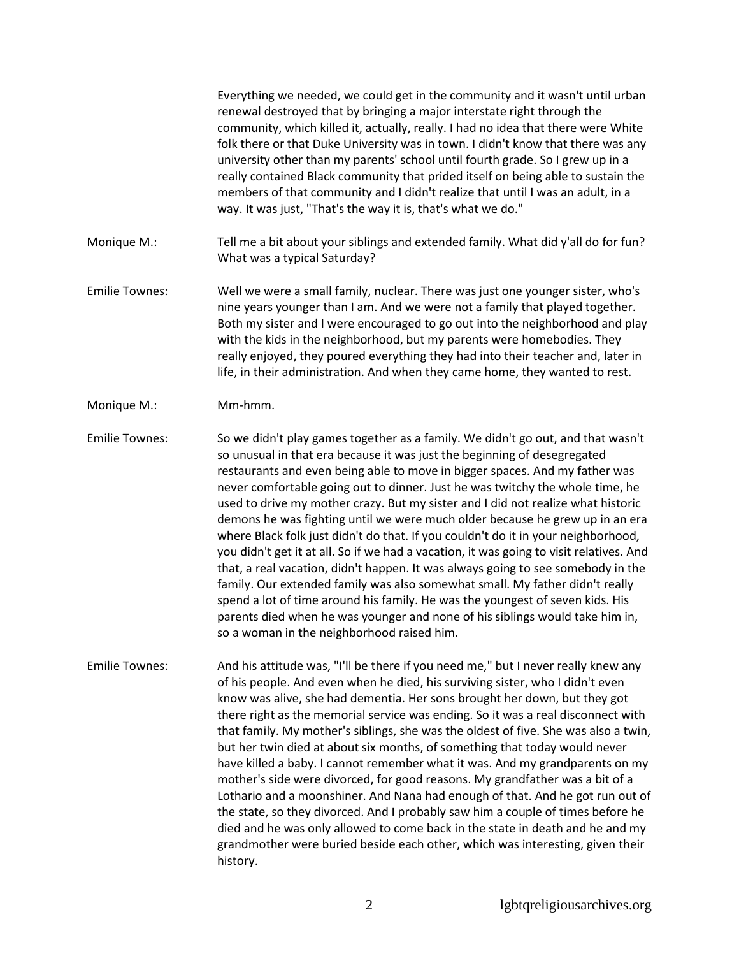Everything we needed, we could get in the community and it wasn't until urban renewal destroyed that by bringing a major interstate right through the community, which killed it, actually, really. I had no idea that there were White folk there or that Duke University was in town. I didn't know that there was any university other than my parents' school until fourth grade. So I grew up in a really contained Black community that prided itself on being able to sustain the members of that community and I didn't realize that until I was an adult, in a way. It was just, "That's the way it is, that's what we do."

- Monique M.: Tell me a bit about your siblings and extended family. What did y'all do for fun? What was a typical Saturday?
- Emilie Townes: Well we were a small family, nuclear. There was just one younger sister, who's nine years younger than I am. And we were not a family that played together. Both my sister and I were encouraged to go out into the neighborhood and play with the kids in the neighborhood, but my parents were homebodies. They really enjoyed, they poured everything they had into their teacher and, later in life, in their administration. And when they came home, they wanted to rest.
- Monique M.: Mm-hmm.

Emilie Townes: So we didn't play games together as a family. We didn't go out, and that wasn't so unusual in that era because it was just the beginning of desegregated restaurants and even being able to move in bigger spaces. And my father was never comfortable going out to dinner. Just he was twitchy the whole time, he used to drive my mother crazy. But my sister and I did not realize what historic demons he was fighting until we were much older because he grew up in an era where Black folk just didn't do that. If you couldn't do it in your neighborhood, you didn't get it at all. So if we had a vacation, it was going to visit relatives. And that, a real vacation, didn't happen. It was always going to see somebody in the family. Our extended family was also somewhat small. My father didn't really spend a lot of time around his family. He was the youngest of seven kids. His parents died when he was younger and none of his siblings would take him in, so a woman in the neighborhood raised him.

Emilie Townes: And his attitude was, "I'll be there if you need me," but I never really knew any of his people. And even when he died, his surviving sister, who I didn't even know was alive, she had dementia. Her sons brought her down, but they got there right as the memorial service was ending. So it was a real disconnect with that family. My mother's siblings, she was the oldest of five. She was also a twin, but her twin died at about six months, of something that today would never have killed a baby. I cannot remember what it was. And my grandparents on my mother's side were divorced, for good reasons. My grandfather was a bit of a Lothario and a moonshiner. And Nana had enough of that. And he got run out of the state, so they divorced. And I probably saw him a couple of times before he died and he was only allowed to come back in the state in death and he and my grandmother were buried beside each other, which was interesting, given their history.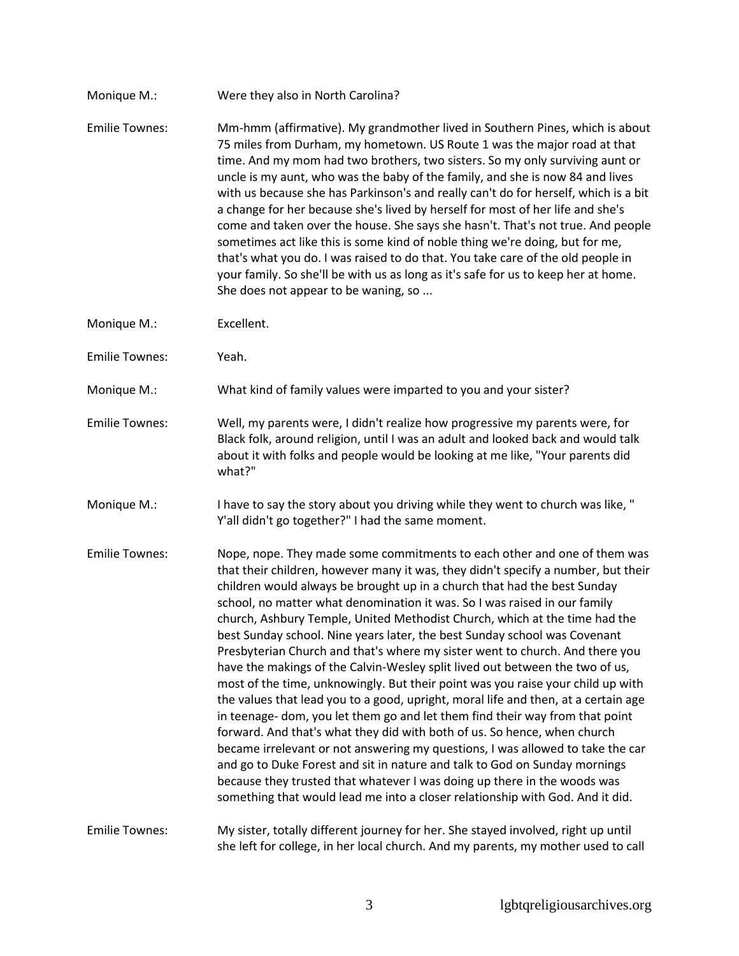- Monique M.: Were they also in North Carolina?
- Emilie Townes: Mm-hmm (affirmative). My grandmother lived in Southern Pines, which is about 75 miles from Durham, my hometown. US Route 1 was the major road at that time. And my mom had two brothers, two sisters. So my only surviving aunt or uncle is my aunt, who was the baby of the family, and she is now 84 and lives with us because she has Parkinson's and really can't do for herself, which is a bit a change for her because she's lived by herself for most of her life and she's come and taken over the house. She says she hasn't. That's not true. And people sometimes act like this is some kind of noble thing we're doing, but for me, that's what you do. I was raised to do that. You take care of the old people in your family. So she'll be with us as long as it's safe for us to keep her at home. She does not appear to be waning, so ...
- Monique M.: Excellent.
- Emilie Townes: Yeah.
- Monique M.: What kind of family values were imparted to you and your sister?
- Emilie Townes: Well, my parents were, I didn't realize how progressive my parents were, for Black folk, around religion, until I was an adult and looked back and would talk about it with folks and people would be looking at me like, "Your parents did what?"
- Monique M.: I have to say the story about you driving while they went to church was like, " Y'all didn't go together?" I had the same moment.
- Emilie Townes: Nope, nope. They made some commitments to each other and one of them was that their children, however many it was, they didn't specify a number, but their children would always be brought up in a church that had the best Sunday school, no matter what denomination it was. So I was raised in our family church, Ashbury Temple, United Methodist Church, which at the time had the best Sunday school. Nine years later, the best Sunday school was Covenant Presbyterian Church and that's where my sister went to church. And there you have the makings of the Calvin-Wesley split lived out between the two of us, most of the time, unknowingly. But their point was you raise your child up with the values that lead you to a good, upright, moral life and then, at a certain age in teenage- dom, you let them go and let them find their way from that point forward. And that's what they did with both of us. So hence, when church became irrelevant or not answering my questions, I was allowed to take the car and go to Duke Forest and sit in nature and talk to God on Sunday mornings because they trusted that whatever I was doing up there in the woods was something that would lead me into a closer relationship with God. And it did.

## Emilie Townes: My sister, totally different journey for her. She stayed involved, right up until she left for college, in her local church. And my parents, my mother used to call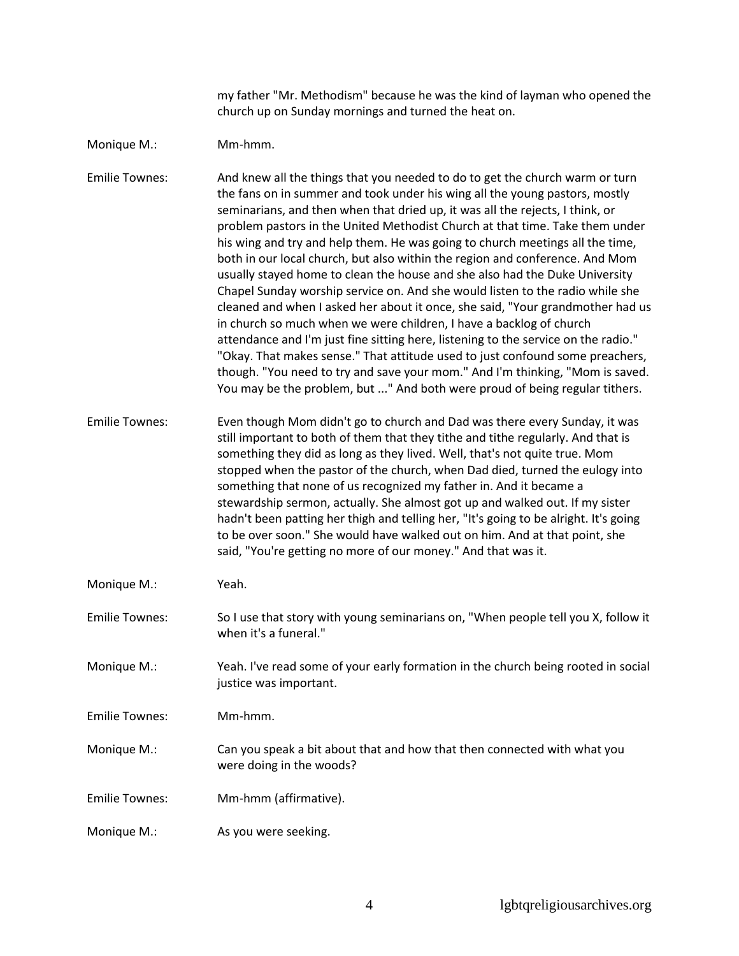my father "Mr. Methodism" because he was the kind of layman who opened the church up on Sunday mornings and turned the heat on.

## Monique M.: Mm-hmm.

Emilie Townes: And knew all the things that you needed to do to get the church warm or turn the fans on in summer and took under his wing all the young pastors, mostly seminarians, and then when that dried up, it was all the rejects, I think, or problem pastors in the United Methodist Church at that time. Take them under his wing and try and help them. He was going to church meetings all the time, both in our local church, but also within the region and conference. And Mom usually stayed home to clean the house and she also had the Duke University Chapel Sunday worship service on. And she would listen to the radio while she cleaned and when I asked her about it once, she said, "Your grandmother had us in church so much when we were children, I have a backlog of church attendance and I'm just fine sitting here, listening to the service on the radio." "Okay. That makes sense." That attitude used to just confound some preachers, though. "You need to try and save your mom." And I'm thinking, "Mom is saved. You may be the problem, but ..." And both were proud of being regular tithers.

Emilie Townes: Even though Mom didn't go to church and Dad was there every Sunday, it was still important to both of them that they tithe and tithe regularly. And that is something they did as long as they lived. Well, that's not quite true. Mom stopped when the pastor of the church, when Dad died, turned the eulogy into something that none of us recognized my father in. And it became a stewardship sermon, actually. She almost got up and walked out. If my sister hadn't been patting her thigh and telling her, "It's going to be alright. It's going to be over soon." She would have walked out on him. And at that point, she said, "You're getting no more of our money." And that was it.

- Monique M.: Yeah.
- Emilie Townes: So I use that story with young seminarians on, "When people tell you X, follow it when it's a funeral."
- Monique M.: Yeah. I've read some of your early formation in the church being rooted in social justice was important.
- Emilie Townes: Mm-hmm.
- Monique M.: Can you speak a bit about that and how that then connected with what you were doing in the woods?
- Emilie Townes: Mm-hmm (affirmative).
- Monique M.: As you were seeking.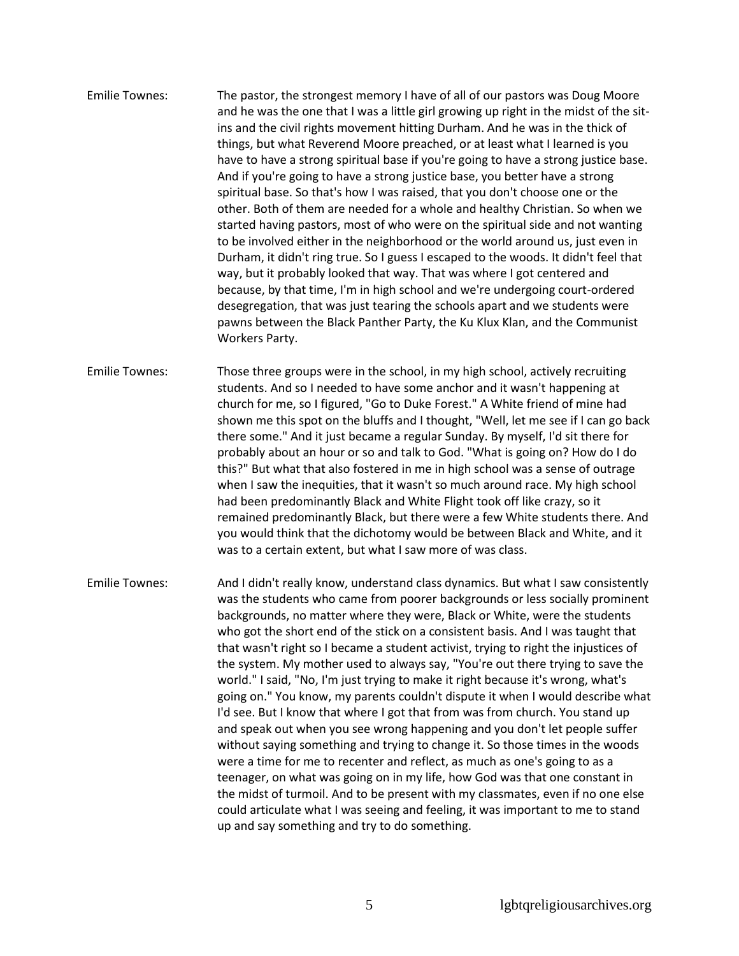Emilie Townes: The pastor, the strongest memory I have of all of our pastors was Doug Moore and he was the one that I was a little girl growing up right in the midst of the sitins and the civil rights movement hitting Durham. And he was in the thick of things, but what Reverend Moore preached, or at least what I learned is you have to have a strong spiritual base if you're going to have a strong justice base. And if you're going to have a strong justice base, you better have a strong spiritual base. So that's how I was raised, that you don't choose one or the other. Both of them are needed for a whole and healthy Christian. So when we started having pastors, most of who were on the spiritual side and not wanting to be involved either in the neighborhood or the world around us, just even in Durham, it didn't ring true. So I guess I escaped to the woods. It didn't feel that way, but it probably looked that way. That was where I got centered and because, by that time, I'm in high school and we're undergoing court-ordered desegregation, that was just tearing the schools apart and we students were pawns between the Black Panther Party, the Ku Klux Klan, and the Communist Workers Party.

Emilie Townes: Those three groups were in the school, in my high school, actively recruiting students. And so I needed to have some anchor and it wasn't happening at church for me, so I figured, "Go to Duke Forest." A White friend of mine had shown me this spot on the bluffs and I thought, "Well, let me see if I can go back there some." And it just became a regular Sunday. By myself, I'd sit there for probably about an hour or so and talk to God. "What is going on? How do I do this?" But what that also fostered in me in high school was a sense of outrage when I saw the inequities, that it wasn't so much around race. My high school had been predominantly Black and White Flight took off like crazy, so it remained predominantly Black, but there were a few White students there. And you would think that the dichotomy would be between Black and White, and it was to a certain extent, but what I saw more of was class.

Emilie Townes: And I didn't really know, understand class dynamics. But what I saw consistently was the students who came from poorer backgrounds or less socially prominent backgrounds, no matter where they were, Black or White, were the students who got the short end of the stick on a consistent basis. And I was taught that that wasn't right so I became a student activist, trying to right the injustices of the system. My mother used to always say, "You're out there trying to save the world." I said, "No, I'm just trying to make it right because it's wrong, what's going on." You know, my parents couldn't dispute it when I would describe what I'd see. But I know that where I got that from was from church. You stand up and speak out when you see wrong happening and you don't let people suffer without saying something and trying to change it. So those times in the woods were a time for me to recenter and reflect, as much as one's going to as a teenager, on what was going on in my life, how God was that one constant in the midst of turmoil. And to be present with my classmates, even if no one else could articulate what I was seeing and feeling, it was important to me to stand up and say something and try to do something.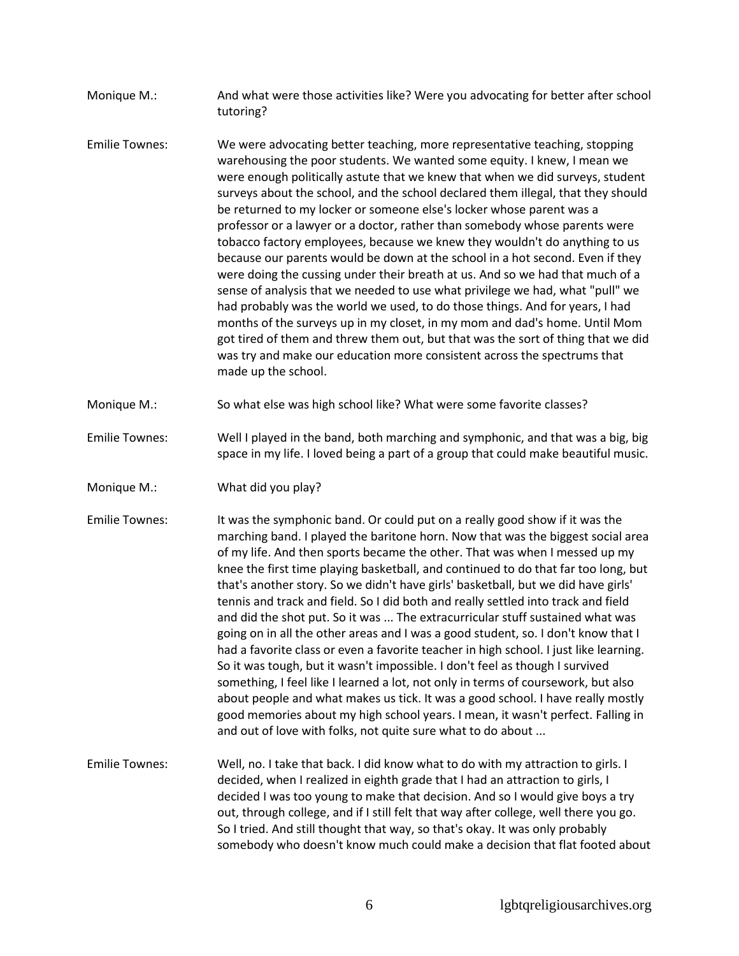- Monique M.: And what were those activities like? Were you advocating for better after school tutoring?
- Emilie Townes: We were advocating better teaching, more representative teaching, stopping warehousing the poor students. We wanted some equity. I knew, I mean we were enough politically astute that we knew that when we did surveys, student surveys about the school, and the school declared them illegal, that they should be returned to my locker or someone else's locker whose parent was a professor or a lawyer or a doctor, rather than somebody whose parents were tobacco factory employees, because we knew they wouldn't do anything to us because our parents would be down at the school in a hot second. Even if they were doing the cussing under their breath at us. And so we had that much of a sense of analysis that we needed to use what privilege we had, what "pull" we had probably was the world we used, to do those things. And for years, I had months of the surveys up in my closet, in my mom and dad's home. Until Mom got tired of them and threw them out, but that was the sort of thing that we did was try and make our education more consistent across the spectrums that made up the school.
- Monique M.: So what else was high school like? What were some favorite classes?
- Emilie Townes: Well I played in the band, both marching and symphonic, and that was a big, big space in my life. I loved being a part of a group that could make beautiful music.
- Monique M.: What did you play?
- Emilie Townes: It was the symphonic band. Or could put on a really good show if it was the marching band. I played the baritone horn. Now that was the biggest social area of my life. And then sports became the other. That was when I messed up my knee the first time playing basketball, and continued to do that far too long, but that's another story. So we didn't have girls' basketball, but we did have girls' tennis and track and field. So I did both and really settled into track and field and did the shot put. So it was ... The extracurricular stuff sustained what was going on in all the other areas and I was a good student, so. I don't know that I had a favorite class or even a favorite teacher in high school. I just like learning. So it was tough, but it wasn't impossible. I don't feel as though I survived something, I feel like I learned a lot, not only in terms of coursework, but also about people and what makes us tick. It was a good school. I have really mostly good memories about my high school years. I mean, it wasn't perfect. Falling in and out of love with folks, not quite sure what to do about ...
- Emilie Townes: Well, no. I take that back. I did know what to do with my attraction to girls. I decided, when I realized in eighth grade that I had an attraction to girls, I decided I was too young to make that decision. And so I would give boys a try out, through college, and if I still felt that way after college, well there you go. So I tried. And still thought that way, so that's okay. It was only probably somebody who doesn't know much could make a decision that flat footed about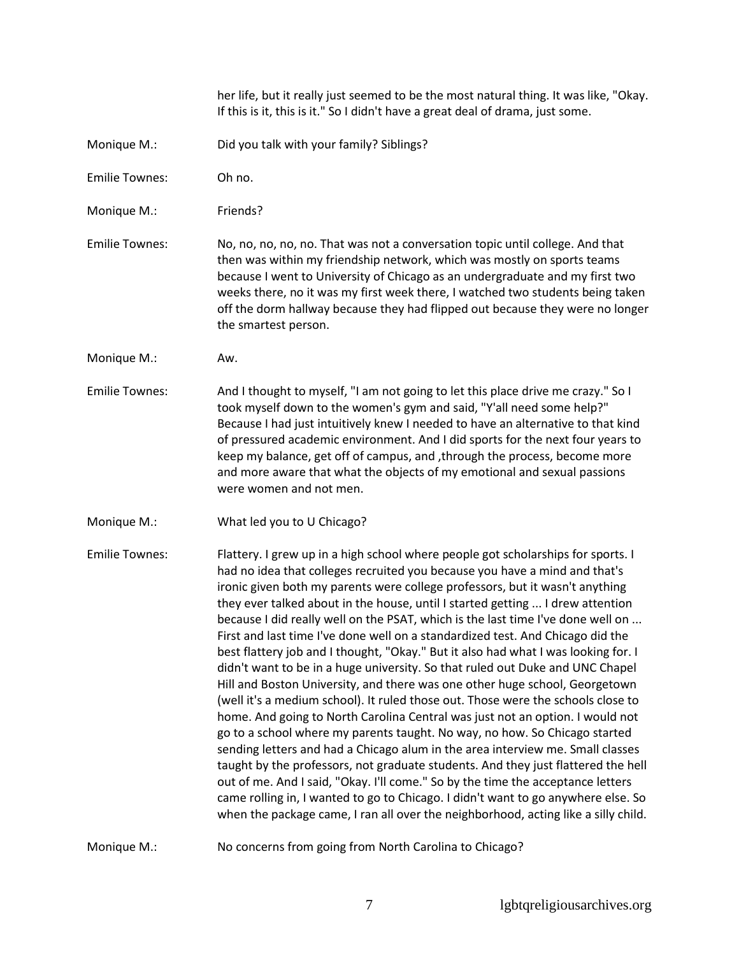her life, but it really just seemed to be the most natural thing. It was like, "Okay. If this is it, this is it." So I didn't have a great deal of drama, just some.

- Monique M.: Did you talk with your family? Siblings?
- Emilie Townes: Oh no.
- Monique M.: Friends?
- Emilie Townes: No, no, no, no, no. That was not a conversation topic until college. And that then was within my friendship network, which was mostly on sports teams because I went to University of Chicago as an undergraduate and my first two weeks there, no it was my first week there, I watched two students being taken off the dorm hallway because they had flipped out because they were no longer the smartest person.
- Monique M.: Aw.
- Emilie Townes: And I thought to myself, "I am not going to let this place drive me crazy." So I took myself down to the women's gym and said, "Y'all need some help?" Because I had just intuitively knew I needed to have an alternative to that kind of pressured academic environment. And I did sports for the next four years to keep my balance, get off of campus, and ,through the process, become more and more aware that what the objects of my emotional and sexual passions were women and not men.
- Monique M.: What led you to U Chicago?

Emilie Townes: Flattery. I grew up in a high school where people got scholarships for sports. I had no idea that colleges recruited you because you have a mind and that's ironic given both my parents were college professors, but it wasn't anything they ever talked about in the house, until I started getting ... I drew attention because I did really well on the PSAT, which is the last time I've done well on ... First and last time I've done well on a standardized test. And Chicago did the best flattery job and I thought, "Okay." But it also had what I was looking for. I didn't want to be in a huge university. So that ruled out Duke and UNC Chapel Hill and Boston University, and there was one other huge school, Georgetown (well it's a medium school). It ruled those out. Those were the schools close to home. And going to North Carolina Central was just not an option. I would not go to a school where my parents taught. No way, no how. So Chicago started sending letters and had a Chicago alum in the area interview me. Small classes taught by the professors, not graduate students. And they just flattered the hell out of me. And I said, "Okay. I'll come." So by the time the acceptance letters came rolling in, I wanted to go to Chicago. I didn't want to go anywhere else. So when the package came, I ran all over the neighborhood, acting like a silly child.

Monique M.: No concerns from going from North Carolina to Chicago?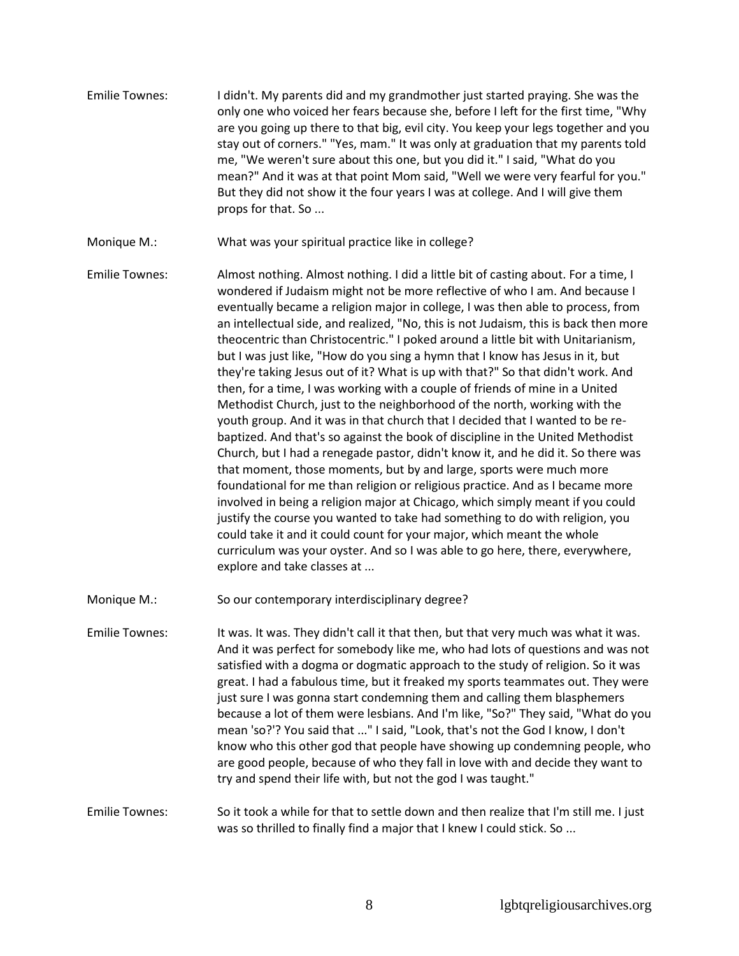- Emilie Townes: I didn't. My parents did and my grandmother just started praying. She was the only one who voiced her fears because she, before I left for the first time, "Why are you going up there to that big, evil city. You keep your legs together and you stay out of corners." "Yes, mam." It was only at graduation that my parents told me, "We weren't sure about this one, but you did it." I said, "What do you mean?" And it was at that point Mom said, "Well we were very fearful for you." But they did not show it the four years I was at college. And I will give them props for that. So ...
- Monique M.: What was your spiritual practice like in college?
- Emilie Townes: Almost nothing. Almost nothing. I did a little bit of casting about. For a time, I wondered if Judaism might not be more reflective of who I am. And because I eventually became a religion major in college, I was then able to process, from an intellectual side, and realized, "No, this is not Judaism, this is back then more theocentric than Christocentric." I poked around a little bit with Unitarianism, but I was just like, "How do you sing a hymn that I know has Jesus in it, but they're taking Jesus out of it? What is up with that?" So that didn't work. And then, for a time, I was working with a couple of friends of mine in a United Methodist Church, just to the neighborhood of the north, working with the youth group. And it was in that church that I decided that I wanted to be rebaptized. And that's so against the book of discipline in the United Methodist Church, but I had a renegade pastor, didn't know it, and he did it. So there was that moment, those moments, but by and large, sports were much more foundational for me than religion or religious practice. And as I became more involved in being a religion major at Chicago, which simply meant if you could justify the course you wanted to take had something to do with religion, you could take it and it could count for your major, which meant the whole curriculum was your oyster. And so I was able to go here, there, everywhere, explore and take classes at ...

Monique M.: So our contemporary interdisciplinary degree?

Emilie Townes: It was. It was. They didn't call it that then, but that very much was what it was. And it was perfect for somebody like me, who had lots of questions and was not satisfied with a dogma or dogmatic approach to the study of religion. So it was great. I had a fabulous time, but it freaked my sports teammates out. They were just sure I was gonna start condemning them and calling them blasphemers because a lot of them were lesbians. And I'm like, "So?" They said, "What do you mean 'so?'? You said that ..." I said, "Look, that's not the God I know, I don't know who this other god that people have showing up condemning people, who are good people, because of who they fall in love with and decide they want to try and spend their life with, but not the god I was taught."

Emilie Townes: So it took a while for that to settle down and then realize that I'm still me. I just was so thrilled to finally find a major that I knew I could stick. So ...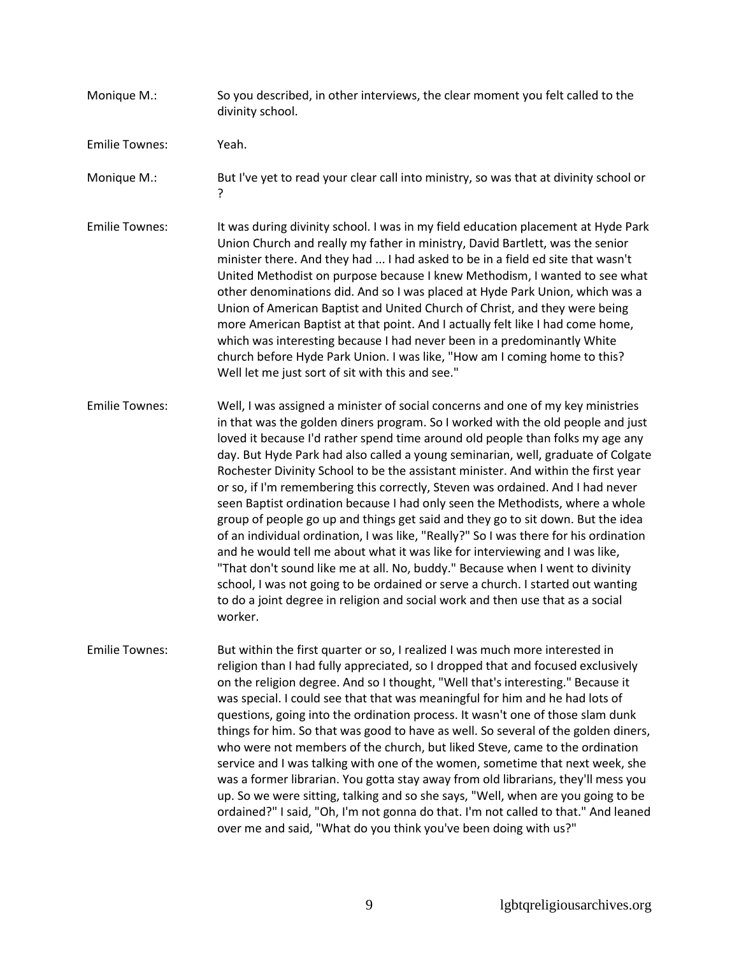Monique M.: So you described, in other interviews, the clear moment you felt called to the divinity school.

Emilie Townes: Yeah.

- Monique M.: But I've yet to read your clear call into ministry, so was that at divinity school or ?
- Emilie Townes: It was during divinity school. I was in my field education placement at Hyde Park Union Church and really my father in ministry, David Bartlett, was the senior minister there. And they had ... I had asked to be in a field ed site that wasn't United Methodist on purpose because I knew Methodism, I wanted to see what other denominations did. And so I was placed at Hyde Park Union, which was a Union of American Baptist and United Church of Christ, and they were being more American Baptist at that point. And I actually felt like I had come home, which was interesting because I had never been in a predominantly White church before Hyde Park Union. I was like, "How am I coming home to this? Well let me just sort of sit with this and see."
- Emilie Townes: Well, I was assigned a minister of social concerns and one of my key ministries in that was the golden diners program. So I worked with the old people and just loved it because I'd rather spend time around old people than folks my age any day. But Hyde Park had also called a young seminarian, well, graduate of Colgate Rochester Divinity School to be the assistant minister. And within the first year or so, if I'm remembering this correctly, Steven was ordained. And I had never seen Baptist ordination because I had only seen the Methodists, where a whole group of people go up and things get said and they go to sit down. But the idea of an individual ordination, I was like, "Really?" So I was there for his ordination and he would tell me about what it was like for interviewing and I was like, "That don't sound like me at all. No, buddy." Because when I went to divinity school, I was not going to be ordained or serve a church. I started out wanting to do a joint degree in religion and social work and then use that as a social worker.
- Emilie Townes: But within the first quarter or so, I realized I was much more interested in religion than I had fully appreciated, so I dropped that and focused exclusively on the religion degree. And so I thought, "Well that's interesting." Because it was special. I could see that that was meaningful for him and he had lots of questions, going into the ordination process. It wasn't one of those slam dunk things for him. So that was good to have as well. So several of the golden diners, who were not members of the church, but liked Steve, came to the ordination service and I was talking with one of the women, sometime that next week, she was a former librarian. You gotta stay away from old librarians, they'll mess you up. So we were sitting, talking and so she says, "Well, when are you going to be ordained?" I said, "Oh, I'm not gonna do that. I'm not called to that." And leaned over me and said, "What do you think you've been doing with us?"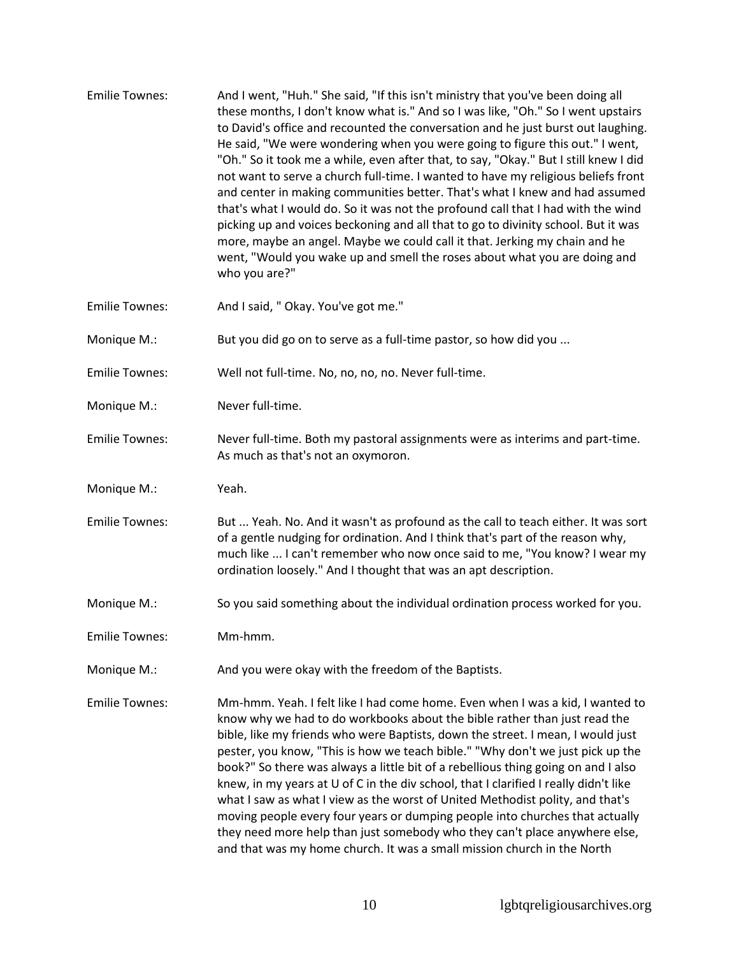- Emilie Townes: And I went, "Huh." She said, "If this isn't ministry that you've been doing all these months, I don't know what is." And so I was like, "Oh." So I went upstairs to David's office and recounted the conversation and he just burst out laughing. He said, "We were wondering when you were going to figure this out." I went, "Oh." So it took me a while, even after that, to say, "Okay." But I still knew I did not want to serve a church full-time. I wanted to have my religious beliefs front and center in making communities better. That's what I knew and had assumed that's what I would do. So it was not the profound call that I had with the wind picking up and voices beckoning and all that to go to divinity school. But it was more, maybe an angel. Maybe we could call it that. Jerking my chain and he went, "Would you wake up and smell the roses about what you are doing and who you are?"
- Emilie Townes: And I said, " Okay. You've got me."
- Monique M.: But you did go on to serve as a full-time pastor, so how did you ...
- Emilie Townes: Well not full-time. No, no, no, no. Never full-time.
- Monique M.: Never full-time.
- Emilie Townes: Never full-time. Both my pastoral assignments were as interims and part-time. As much as that's not an oxymoron.
- Monique M.: Yeah.
- Emilie Townes: But ... Yeah. No. And it wasn't as profound as the call to teach either. It was sort of a gentle nudging for ordination. And I think that's part of the reason why, much like ... I can't remember who now once said to me, "You know? I wear my ordination loosely." And I thought that was an apt description.
- Monique M.: So you said something about the individual ordination process worked for you.
- Emilie Townes: Mm-hmm.
- Monique M.: And you were okay with the freedom of the Baptists.
- Emilie Townes: Mm-hmm. Yeah. I felt like I had come home. Even when I was a kid, I wanted to know why we had to do workbooks about the bible rather than just read the bible, like my friends who were Baptists, down the street. I mean, I would just pester, you know, "This is how we teach bible." "Why don't we just pick up the book?" So there was always a little bit of a rebellious thing going on and I also knew, in my years at U of C in the div school, that I clarified I really didn't like what I saw as what I view as the worst of United Methodist polity, and that's moving people every four years or dumping people into churches that actually they need more help than just somebody who they can't place anywhere else, and that was my home church. It was a small mission church in the North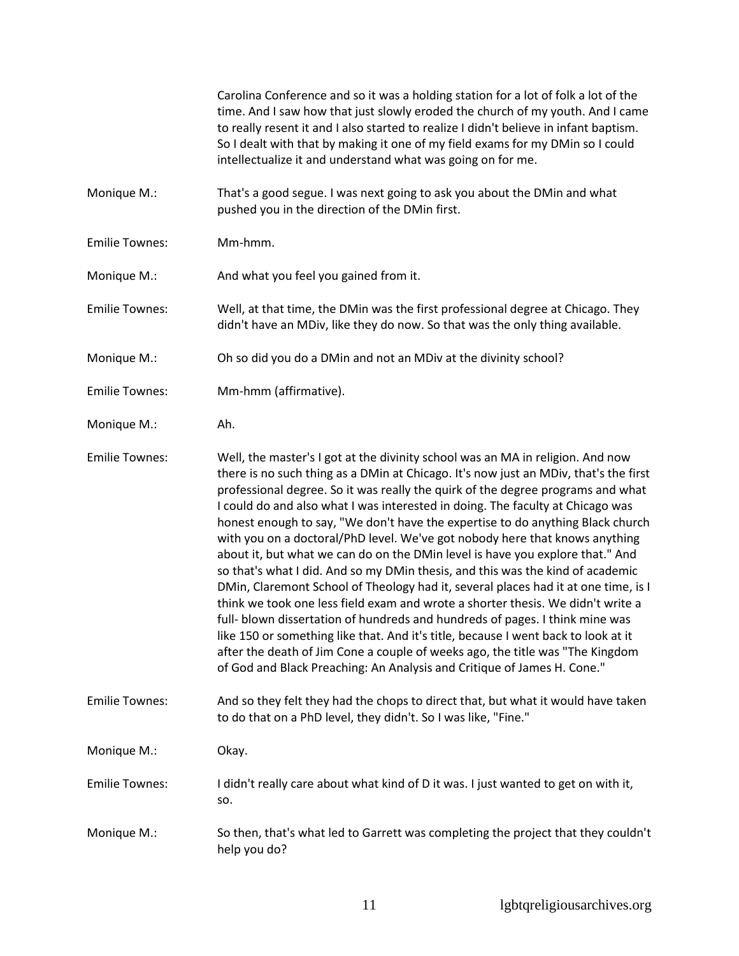Carolina Conference and so it was a holding station for a lot of folk a lot of the time. And I saw how that just slowly eroded the church of my youth. And I came to really resent it and I also started to realize I didn't believe in infant baptism. So I dealt with that by making it one of my field exams for my DMin so I could intellectualize it and understand what was going on for me.

- Monique M.: That's a good segue. I was next going to ask you about the DMin and what pushed you in the direction of the DMin first.
- Emilie Townes: Mm-hmm.

Monique M.: And what you feel you gained from it.

Emilie Townes: Well, at that time, the DMin was the first professional degree at Chicago. They didn't have an MDiv, like they do now. So that was the only thing available.

Monique M.: Oh so did you do a DMin and not an MDiv at the divinity school?

Emilie Townes: Mm-hmm (affirmative).

Monique M.: Ah.

Emilie Townes: Well, the master's I got at the divinity school was an MA in religion. And now there is no such thing as a DMin at Chicago. It's now just an MDiv, that's the first professional degree. So it was really the quirk of the degree programs and what I could do and also what I was interested in doing. The faculty at Chicago was honest enough to say, "We don't have the expertise to do anything Black church with you on a doctoral/PhD level. We've got nobody here that knows anything about it, but what we can do on the DMin level is have you explore that." And so that's what I did. And so my DMin thesis, and this was the kind of academic DMin, Claremont School of Theology had it, several places had it at one time, is I think we took one less field exam and wrote a shorter thesis. We didn't write a full- blown dissertation of hundreds and hundreds of pages. I think mine was like 150 or something like that. And it's title, because I went back to look at it after the death of Jim Cone a couple of weeks ago, the title was "The Kingdom of God and Black Preaching: An Analysis and Critique of James H. Cone."

Emilie Townes: And so they felt they had the chops to direct that, but what it would have taken to do that on a PhD level, they didn't. So I was like, "Fine."

Monique M.: Okay.

Emilie Townes: I didn't really care about what kind of D it was. I just wanted to get on with it, so.

Monique M.: So then, that's what led to Garrett was completing the project that they couldn't help you do?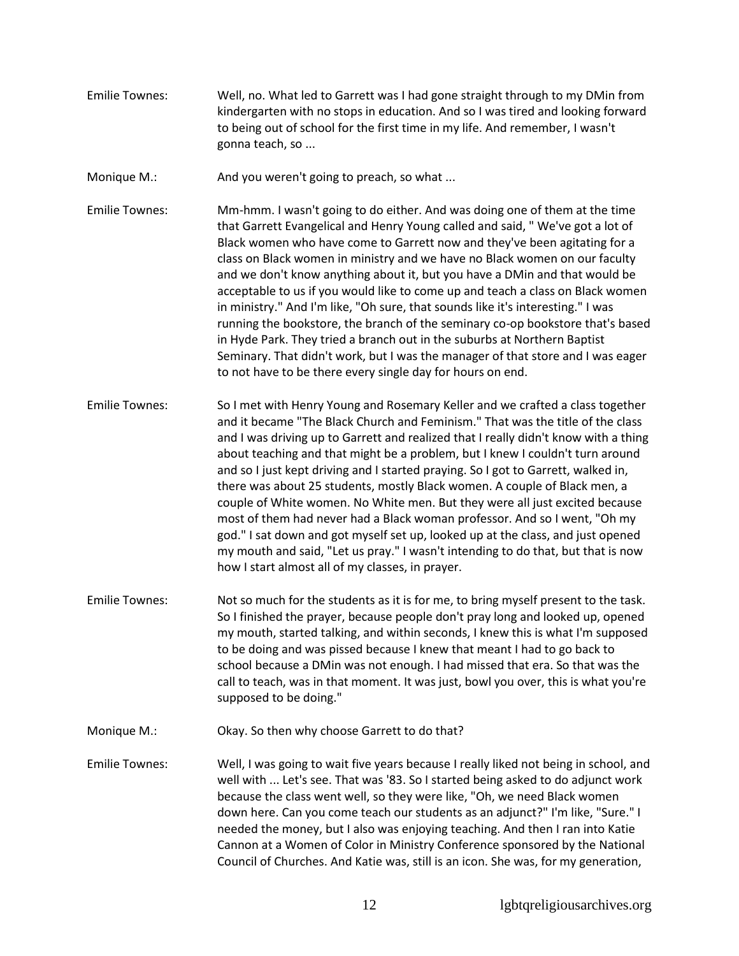- Emilie Townes: Well, no. What led to Garrett was I had gone straight through to my DMin from kindergarten with no stops in education. And so I was tired and looking forward to being out of school for the first time in my life. And remember, I wasn't gonna teach, so ...
- Monique M.: And you weren't going to preach, so what ...
- Emilie Townes: Mm-hmm. I wasn't going to do either. And was doing one of them at the time that Garrett Evangelical and Henry Young called and said, " We've got a lot of Black women who have come to Garrett now and they've been agitating for a class on Black women in ministry and we have no Black women on our faculty and we don't know anything about it, but you have a DMin and that would be acceptable to us if you would like to come up and teach a class on Black women in ministry." And I'm like, "Oh sure, that sounds like it's interesting." I was running the bookstore, the branch of the seminary co-op bookstore that's based in Hyde Park. They tried a branch out in the suburbs at Northern Baptist Seminary. That didn't work, but I was the manager of that store and I was eager to not have to be there every single day for hours on end.
- Emilie Townes: So I met with Henry Young and Rosemary Keller and we crafted a class together and it became "The Black Church and Feminism." That was the title of the class and I was driving up to Garrett and realized that I really didn't know with a thing about teaching and that might be a problem, but I knew I couldn't turn around and so I just kept driving and I started praying. So I got to Garrett, walked in, there was about 25 students, mostly Black women. A couple of Black men, a couple of White women. No White men. But they were all just excited because most of them had never had a Black woman professor. And so I went, "Oh my god." I sat down and got myself set up, looked up at the class, and just opened my mouth and said, "Let us pray." I wasn't intending to do that, but that is now how I start almost all of my classes, in prayer.
- Emilie Townes: Not so much for the students as it is for me, to bring myself present to the task. So I finished the prayer, because people don't pray long and looked up, opened my mouth, started talking, and within seconds, I knew this is what I'm supposed to be doing and was pissed because I knew that meant I had to go back to school because a DMin was not enough. I had missed that era. So that was the call to teach, was in that moment. It was just, bowl you over, this is what you're supposed to be doing."
- Monique M.: Chay. So then why choose Garrett to do that?
- Emilie Townes: Well, I was going to wait five years because I really liked not being in school, and well with ... Let's see. That was '83. So I started being asked to do adjunct work because the class went well, so they were like, "Oh, we need Black women down here. Can you come teach our students as an adjunct?" I'm like, "Sure." I needed the money, but I also was enjoying teaching. And then I ran into Katie Cannon at a Women of Color in Ministry Conference sponsored by the National Council of Churches. And Katie was, still is an icon. She was, for my generation,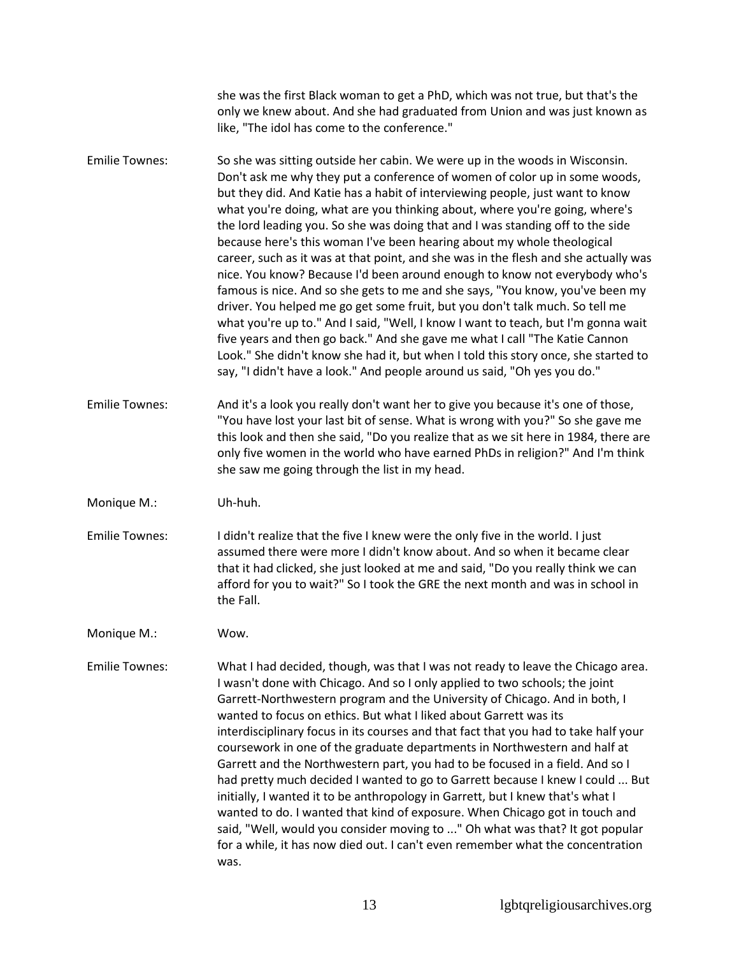she was the first Black woman to get a PhD, which was not true, but that's the only we knew about. And she had graduated from Union and was just known as like, "The idol has come to the conference." Emilie Townes: So she was sitting outside her cabin. We were up in the woods in Wisconsin. Don't ask me why they put a conference of women of color up in some woods, but they did. And Katie has a habit of interviewing people, just want to know what you're doing, what are you thinking about, where you're going, where's the lord leading you. So she was doing that and I was standing off to the side because here's this woman I've been hearing about my whole theological career, such as it was at that point, and she was in the flesh and she actually was nice. You know? Because I'd been around enough to know not everybody who's famous is nice. And so she gets to me and she says, "You know, you've been my driver. You helped me go get some fruit, but you don't talk much. So tell me what you're up to." And I said, "Well, I know I want to teach, but I'm gonna wait five years and then go back." And she gave me what I call "The Katie Cannon Look." She didn't know she had it, but when I told this story once, she started to say, "I didn't have a look." And people around us said, "Oh yes you do." Emilie Townes: And it's a look you really don't want her to give you because it's one of those, "You have lost your last bit of sense. What is wrong with you?" So she gave me this look and then she said, "Do you realize that as we sit here in 1984, there are only five women in the world who have earned PhDs in religion?" And I'm think she saw me going through the list in my head. Monique M.: Uh-huh. Emilie Townes: I didn't realize that the five I knew were the only five in the world. I just assumed there were more I didn't know about. And so when it became clear that it had clicked, she just looked at me and said, "Do you really think we can afford for you to wait?" So I took the GRE the next month and was in school in the Fall. Monique M.: Wow. Emilie Townes: What I had decided, though, was that I was not ready to leave the Chicago area. I wasn't done with Chicago. And so I only applied to two schools; the joint Garrett-Northwestern program and the University of Chicago. And in both, I wanted to focus on ethics. But what I liked about Garrett was its interdisciplinary focus in its courses and that fact that you had to take half your coursework in one of the graduate departments in Northwestern and half at Garrett and the Northwestern part, you had to be focused in a field. And so I had pretty much decided I wanted to go to Garrett because I knew I could ... But initially, I wanted it to be anthropology in Garrett, but I knew that's what I wanted to do. I wanted that kind of exposure. When Chicago got in touch and said, "Well, would you consider moving to ..." Oh what was that? It got popular for a while, it has now died out. I can't even remember what the concentration was.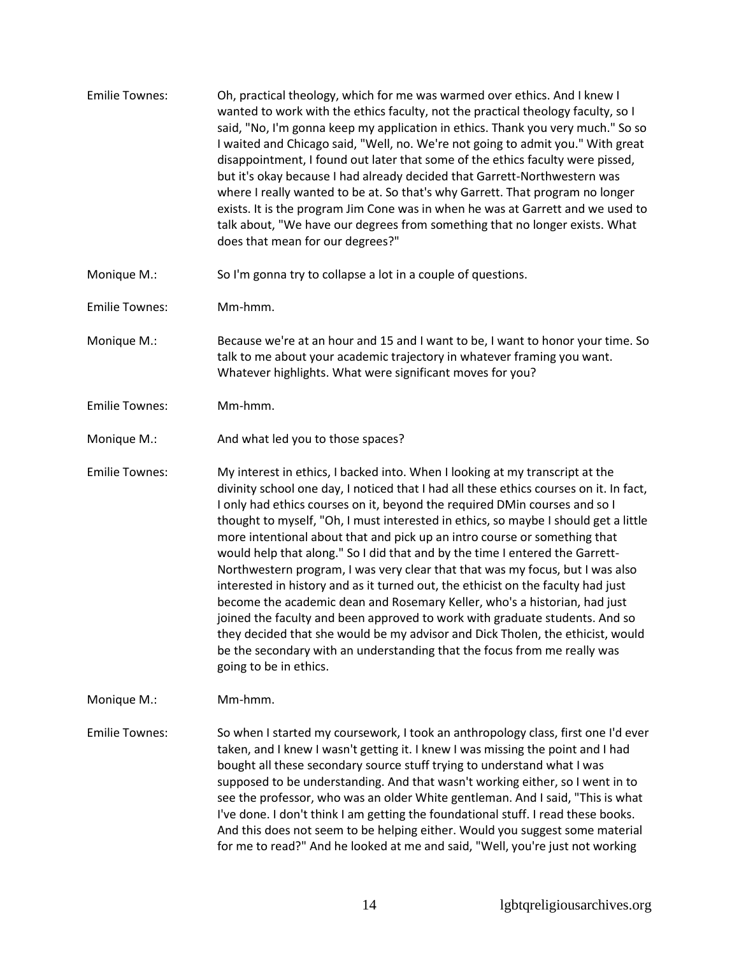| <b>Emilie Townes:</b> | Oh, practical theology, which for me was warmed over ethics. And I knew I<br>wanted to work with the ethics faculty, not the practical theology faculty, so I<br>said, "No, I'm gonna keep my application in ethics. Thank you very much." So so<br>I waited and Chicago said, "Well, no. We're not going to admit you." With great<br>disappointment, I found out later that some of the ethics faculty were pissed,<br>but it's okay because I had already decided that Garrett-Northwestern was<br>where I really wanted to be at. So that's why Garrett. That program no longer<br>exists. It is the program Jim Cone was in when he was at Garrett and we used to<br>talk about, "We have our degrees from something that no longer exists. What<br>does that mean for our degrees?"                                                                                                                                                                                                                                         |
|-----------------------|-----------------------------------------------------------------------------------------------------------------------------------------------------------------------------------------------------------------------------------------------------------------------------------------------------------------------------------------------------------------------------------------------------------------------------------------------------------------------------------------------------------------------------------------------------------------------------------------------------------------------------------------------------------------------------------------------------------------------------------------------------------------------------------------------------------------------------------------------------------------------------------------------------------------------------------------------------------------------------------------------------------------------------------|
| Monique M.:           | So I'm gonna try to collapse a lot in a couple of questions.                                                                                                                                                                                                                                                                                                                                                                                                                                                                                                                                                                                                                                                                                                                                                                                                                                                                                                                                                                      |
| <b>Emilie Townes:</b> | Mm-hmm.                                                                                                                                                                                                                                                                                                                                                                                                                                                                                                                                                                                                                                                                                                                                                                                                                                                                                                                                                                                                                           |
| Monique M.:           | Because we're at an hour and 15 and I want to be, I want to honor your time. So<br>talk to me about your academic trajectory in whatever framing you want.<br>Whatever highlights. What were significant moves for you?                                                                                                                                                                                                                                                                                                                                                                                                                                                                                                                                                                                                                                                                                                                                                                                                           |
| <b>Emilie Townes:</b> | Mm-hmm.                                                                                                                                                                                                                                                                                                                                                                                                                                                                                                                                                                                                                                                                                                                                                                                                                                                                                                                                                                                                                           |
| Monique M.:           | And what led you to those spaces?                                                                                                                                                                                                                                                                                                                                                                                                                                                                                                                                                                                                                                                                                                                                                                                                                                                                                                                                                                                                 |
| <b>Emilie Townes:</b> | My interest in ethics, I backed into. When I looking at my transcript at the<br>divinity school one day, I noticed that I had all these ethics courses on it. In fact,<br>I only had ethics courses on it, beyond the required DMin courses and so I<br>thought to myself, "Oh, I must interested in ethics, so maybe I should get a little<br>more intentional about that and pick up an intro course or something that<br>would help that along." So I did that and by the time I entered the Garrett-<br>Northwestern program, I was very clear that that was my focus, but I was also<br>interested in history and as it turned out, the ethicist on the faculty had just<br>become the academic dean and Rosemary Keller, who's a historian, had just<br>joined the faculty and been approved to work with graduate students. And so<br>they decided that she would be my advisor and Dick Tholen, the ethicist, would<br>be the secondary with an understanding that the focus from me really was<br>going to be in ethics. |
| Monique M.:           | Mm-hmm.                                                                                                                                                                                                                                                                                                                                                                                                                                                                                                                                                                                                                                                                                                                                                                                                                                                                                                                                                                                                                           |
| <b>Emilie Townes:</b> | So when I started my coursework, I took an anthropology class, first one I'd ever<br>taken, and I knew I wasn't getting it. I knew I was missing the point and I had<br>bought all these secondary source stuff trying to understand what I was<br>supposed to be understanding. And that wasn't working either, so I went in to<br>see the professor, who was an older White gentleman. And I said, "This is what<br>I've done. I don't think I am getting the foundational stuff. I read these books.<br>And this does not seem to be helping either. Would you suggest some material<br>for me to read?" And he looked at me and said, "Well, you're just not working                                                                                                                                                                                                                                                                                                                                                          |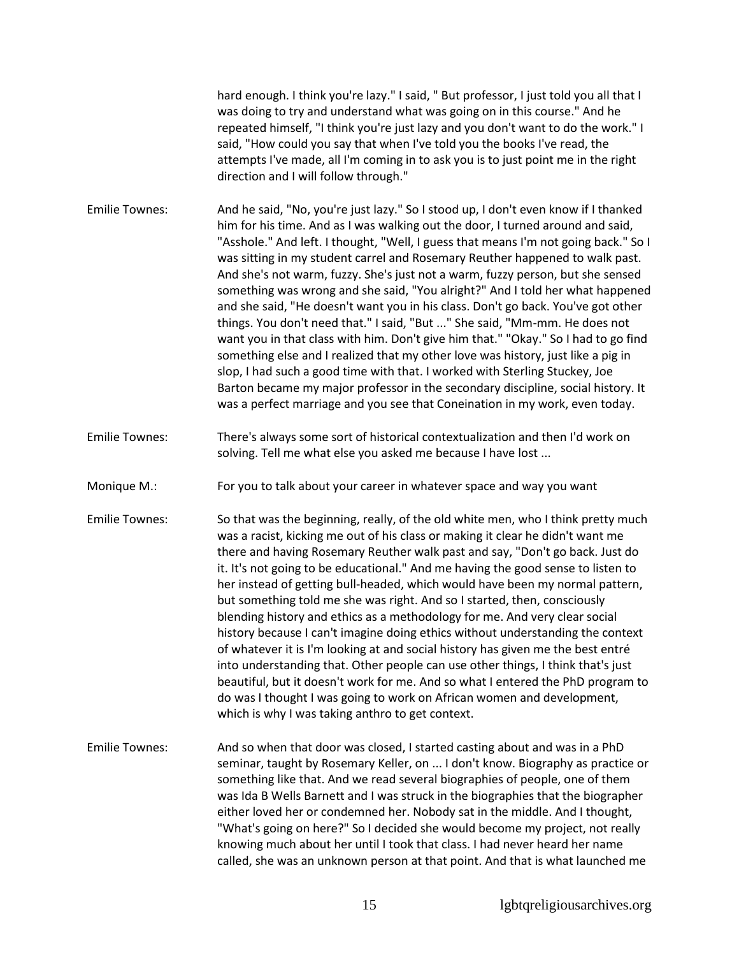hard enough. I think you're lazy." I said, " But professor, I just told you all that I was doing to try and understand what was going on in this course." And he repeated himself, "I think you're just lazy and you don't want to do the work." I said, "How could you say that when I've told you the books I've read, the attempts I've made, all I'm coming in to ask you is to just point me in the right direction and I will follow through."

- Emilie Townes: And he said, "No, you're just lazy." So I stood up, I don't even know if I thanked him for his time. And as I was walking out the door, I turned around and said, "Asshole." And left. I thought, "Well, I guess that means I'm not going back." So I was sitting in my student carrel and Rosemary Reuther happened to walk past. And she's not warm, fuzzy. She's just not a warm, fuzzy person, but she sensed something was wrong and she said, "You alright?" And I told her what happened and she said, "He doesn't want you in his class. Don't go back. You've got other things. You don't need that." I said, "But ..." She said, "Mm-mm. He does not want you in that class with him. Don't give him that." "Okay." So I had to go find something else and I realized that my other love was history, just like a pig in slop, I had such a good time with that. I worked with Sterling Stuckey, Joe Barton became my major professor in the secondary discipline, social history. It was a perfect marriage and you see that Coneination in my work, even today.
- Emilie Townes: There's always some sort of historical contextualization and then I'd work on solving. Tell me what else you asked me because I have lost ...
- Monique M.: For you to talk about your career in whatever space and way you want
- Emilie Townes: So that was the beginning, really, of the old white men, who I think pretty much was a racist, kicking me out of his class or making it clear he didn't want me there and having Rosemary Reuther walk past and say, "Don't go back. Just do it. It's not going to be educational." And me having the good sense to listen to her instead of getting bull-headed, which would have been my normal pattern, but something told me she was right. And so I started, then, consciously blending history and ethics as a methodology for me. And very clear social history because I can't imagine doing ethics without understanding the context of whatever it is I'm looking at and social history has given me the best entré into understanding that. Other people can use other things, I think that's just beautiful, but it doesn't work for me. And so what I entered the PhD program to do was I thought I was going to work on African women and development, which is why I was taking anthro to get context.
- Emilie Townes: And so when that door was closed, I started casting about and was in a PhD seminar, taught by Rosemary Keller, on ... I don't know. Biography as practice or something like that. And we read several biographies of people, one of them was Ida B Wells Barnett and I was struck in the biographies that the biographer either loved her or condemned her. Nobody sat in the middle. And I thought, "What's going on here?" So I decided she would become my project, not really knowing much about her until I took that class. I had never heard her name called, she was an unknown person at that point. And that is what launched me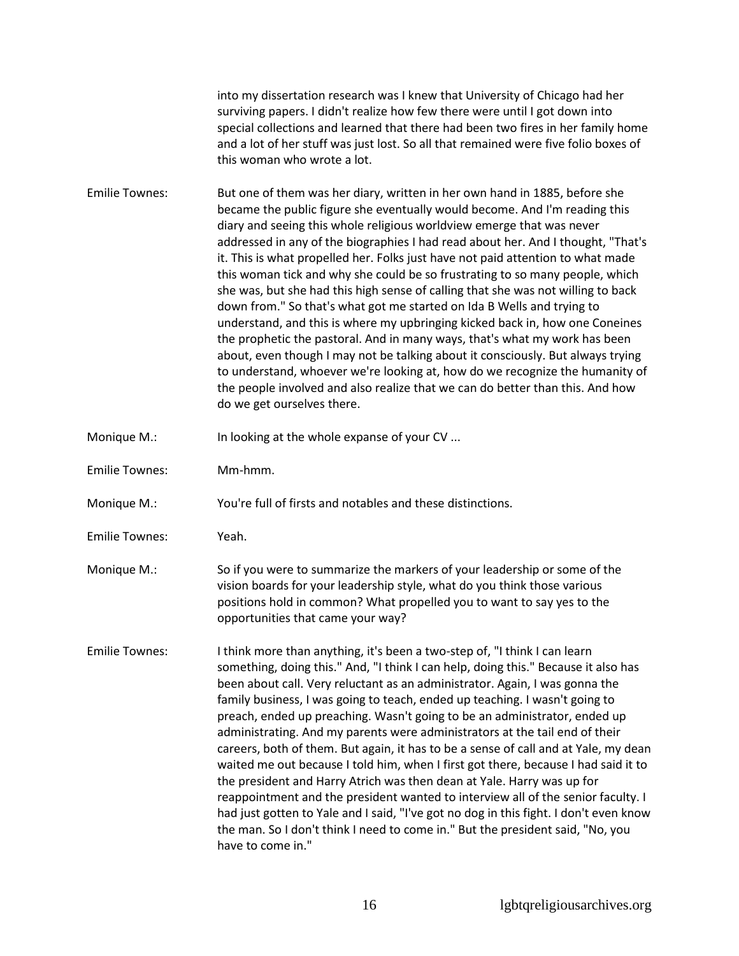into my dissertation research was I knew that University of Chicago had her surviving papers. I didn't realize how few there were until I got down into special collections and learned that there had been two fires in her family home and a lot of her stuff was just lost. So all that remained were five folio boxes of this woman who wrote a lot.

Emilie Townes: But one of them was her diary, written in her own hand in 1885, before she became the public figure she eventually would become. And I'm reading this diary and seeing this whole religious worldview emerge that was never addressed in any of the biographies I had read about her. And I thought, "That's it. This is what propelled her. Folks just have not paid attention to what made this woman tick and why she could be so frustrating to so many people, which she was, but she had this high sense of calling that she was not willing to back down from." So that's what got me started on Ida B Wells and trying to understand, and this is where my upbringing kicked back in, how one Coneines the prophetic the pastoral. And in many ways, that's what my work has been about, even though I may not be talking about it consciously. But always trying to understand, whoever we're looking at, how do we recognize the humanity of the people involved and also realize that we can do better than this. And how do we get ourselves there.

Monique M.: In looking at the whole expanse of your CV ...

Emilie Townes: Mm-hmm.

Monique M.: You're full of firsts and notables and these distinctions.

Emilie Townes: Yeah.

Monique M.: So if you were to summarize the markers of your leadership or some of the vision boards for your leadership style, what do you think those various positions hold in common? What propelled you to want to say yes to the opportunities that came your way?

Emilie Townes: I think more than anything, it's been a two-step of, "I think I can learn something, doing this." And, "I think I can help, doing this." Because it also has been about call. Very reluctant as an administrator. Again, I was gonna the family business, I was going to teach, ended up teaching. I wasn't going to preach, ended up preaching. Wasn't going to be an administrator, ended up administrating. And my parents were administrators at the tail end of their careers, both of them. But again, it has to be a sense of call and at Yale, my dean waited me out because I told him, when I first got there, because I had said it to the president and Harry Atrich was then dean at Yale. Harry was up for reappointment and the president wanted to interview all of the senior faculty. I had just gotten to Yale and I said, "I've got no dog in this fight. I don't even know the man. So I don't think I need to come in." But the president said, "No, you have to come in."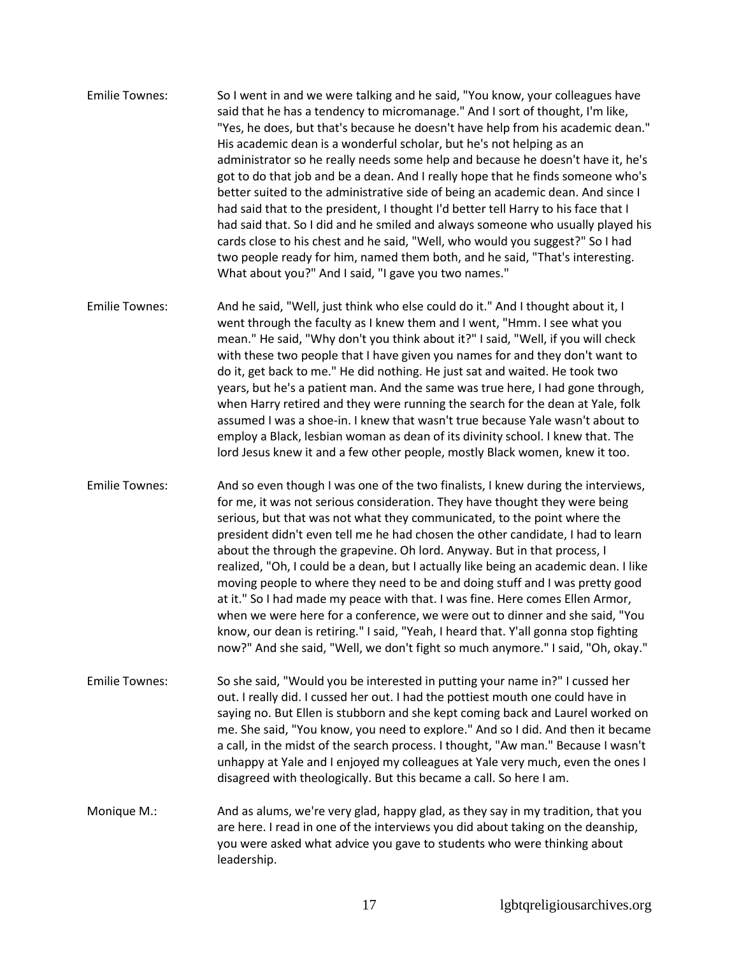- Emilie Townes: So I went in and we were talking and he said, "You know, your colleagues have said that he has a tendency to micromanage." And I sort of thought, I'm like, "Yes, he does, but that's because he doesn't have help from his academic dean." His academic dean is a wonderful scholar, but he's not helping as an administrator so he really needs some help and because he doesn't have it, he's got to do that job and be a dean. And I really hope that he finds someone who's better suited to the administrative side of being an academic dean. And since I had said that to the president, I thought I'd better tell Harry to his face that I had said that. So I did and he smiled and always someone who usually played his cards close to his chest and he said, "Well, who would you suggest?" So I had two people ready for him, named them both, and he said, "That's interesting. What about you?" And I said, "I gave you two names."
- Emilie Townes: And he said, "Well, just think who else could do it." And I thought about it, I went through the faculty as I knew them and I went, "Hmm. I see what you mean." He said, "Why don't you think about it?" I said, "Well, if you will check with these two people that I have given you names for and they don't want to do it, get back to me." He did nothing. He just sat and waited. He took two years, but he's a patient man. And the same was true here, I had gone through, when Harry retired and they were running the search for the dean at Yale, folk assumed I was a shoe-in. I knew that wasn't true because Yale wasn't about to employ a Black, lesbian woman as dean of its divinity school. I knew that. The lord Jesus knew it and a few other people, mostly Black women, knew it too.
- Emilie Townes: And so even though I was one of the two finalists, I knew during the interviews, for me, it was not serious consideration. They have thought they were being serious, but that was not what they communicated, to the point where the president didn't even tell me he had chosen the other candidate, I had to learn about the through the grapevine. Oh lord. Anyway. But in that process, I realized, "Oh, I could be a dean, but I actually like being an academic dean. I like moving people to where they need to be and doing stuff and I was pretty good at it." So I had made my peace with that. I was fine. Here comes Ellen Armor, when we were here for a conference, we were out to dinner and she said, "You know, our dean is retiring." I said, "Yeah, I heard that. Y'all gonna stop fighting now?" And she said, "Well, we don't fight so much anymore." I said, "Oh, okay."
- Emilie Townes: So she said, "Would you be interested in putting your name in?" I cussed her out. I really did. I cussed her out. I had the pottiest mouth one could have in saying no. But Ellen is stubborn and she kept coming back and Laurel worked on me. She said, "You know, you need to explore." And so I did. And then it became a call, in the midst of the search process. I thought, "Aw man." Because I wasn't unhappy at Yale and I enjoyed my colleagues at Yale very much, even the ones I disagreed with theologically. But this became a call. So here I am.
- Monique M.: And as alums, we're very glad, happy glad, as they say in my tradition, that you are here. I read in one of the interviews you did about taking on the deanship, you were asked what advice you gave to students who were thinking about leadership.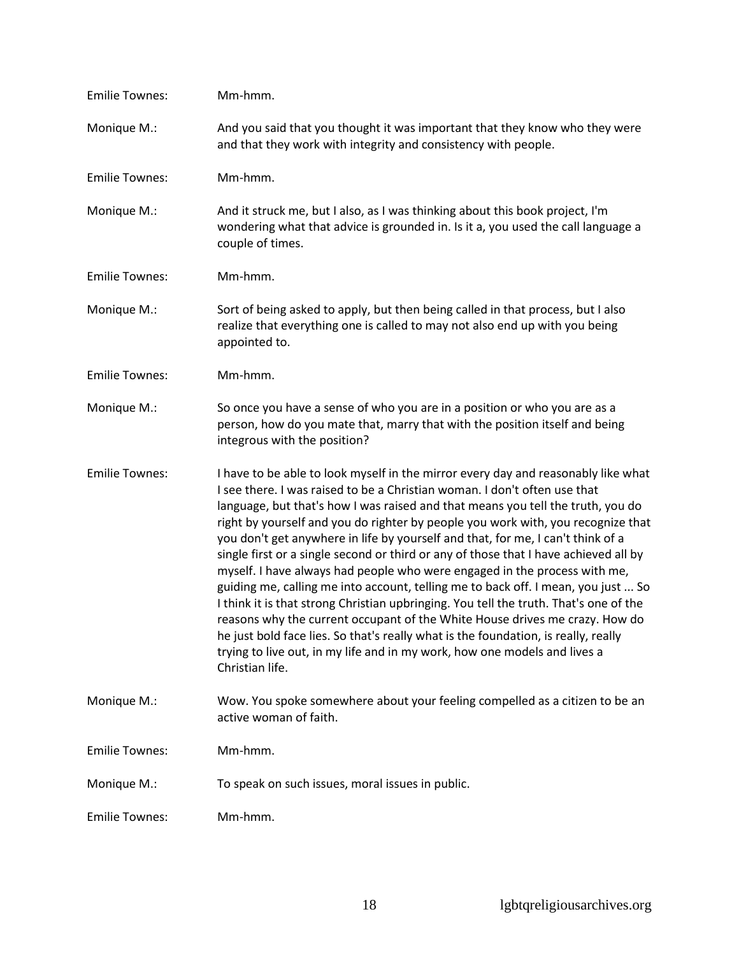| <b>Emilie Townes:</b> | Mm-hmm.                                                                                                                                                                                                                                                                                                                                                                                                                                                                                                                                                                                                                                                                                                                                                                                                                                                                                                                                                     |
|-----------------------|-------------------------------------------------------------------------------------------------------------------------------------------------------------------------------------------------------------------------------------------------------------------------------------------------------------------------------------------------------------------------------------------------------------------------------------------------------------------------------------------------------------------------------------------------------------------------------------------------------------------------------------------------------------------------------------------------------------------------------------------------------------------------------------------------------------------------------------------------------------------------------------------------------------------------------------------------------------|
| Monique M.:           | And you said that you thought it was important that they know who they were<br>and that they work with integrity and consistency with people.                                                                                                                                                                                                                                                                                                                                                                                                                                                                                                                                                                                                                                                                                                                                                                                                               |
| <b>Emilie Townes:</b> | Mm-hmm.                                                                                                                                                                                                                                                                                                                                                                                                                                                                                                                                                                                                                                                                                                                                                                                                                                                                                                                                                     |
| Monique M.:           | And it struck me, but I also, as I was thinking about this book project, I'm<br>wondering what that advice is grounded in. Is it a, you used the call language a<br>couple of times.                                                                                                                                                                                                                                                                                                                                                                                                                                                                                                                                                                                                                                                                                                                                                                        |
| <b>Emilie Townes:</b> | Mm-hmm.                                                                                                                                                                                                                                                                                                                                                                                                                                                                                                                                                                                                                                                                                                                                                                                                                                                                                                                                                     |
| Monique M.:           | Sort of being asked to apply, but then being called in that process, but I also<br>realize that everything one is called to may not also end up with you being<br>appointed to.                                                                                                                                                                                                                                                                                                                                                                                                                                                                                                                                                                                                                                                                                                                                                                             |
| <b>Emilie Townes:</b> | Mm-hmm.                                                                                                                                                                                                                                                                                                                                                                                                                                                                                                                                                                                                                                                                                                                                                                                                                                                                                                                                                     |
| Monique M.:           | So once you have a sense of who you are in a position or who you are as a<br>person, how do you mate that, marry that with the position itself and being<br>integrous with the position?                                                                                                                                                                                                                                                                                                                                                                                                                                                                                                                                                                                                                                                                                                                                                                    |
| <b>Emilie Townes:</b> | I have to be able to look myself in the mirror every day and reasonably like what                                                                                                                                                                                                                                                                                                                                                                                                                                                                                                                                                                                                                                                                                                                                                                                                                                                                           |
|                       | I see there. I was raised to be a Christian woman. I don't often use that<br>language, but that's how I was raised and that means you tell the truth, you do<br>right by yourself and you do righter by people you work with, you recognize that<br>you don't get anywhere in life by yourself and that, for me, I can't think of a<br>single first or a single second or third or any of those that I have achieved all by<br>myself. I have always had people who were engaged in the process with me,<br>guiding me, calling me into account, telling me to back off. I mean, you just  So<br>I think it is that strong Christian upbringing. You tell the truth. That's one of the<br>reasons why the current occupant of the White House drives me crazy. How do<br>he just bold face lies. So that's really what is the foundation, is really, really<br>trying to live out, in my life and in my work, how one models and lives a<br>Christian life. |
| Monique M.:           | Wow. You spoke somewhere about your feeling compelled as a citizen to be an<br>active woman of faith.                                                                                                                                                                                                                                                                                                                                                                                                                                                                                                                                                                                                                                                                                                                                                                                                                                                       |
| <b>Emilie Townes:</b> | Mm-hmm.                                                                                                                                                                                                                                                                                                                                                                                                                                                                                                                                                                                                                                                                                                                                                                                                                                                                                                                                                     |
| Monique M.:           | To speak on such issues, moral issues in public.                                                                                                                                                                                                                                                                                                                                                                                                                                                                                                                                                                                                                                                                                                                                                                                                                                                                                                            |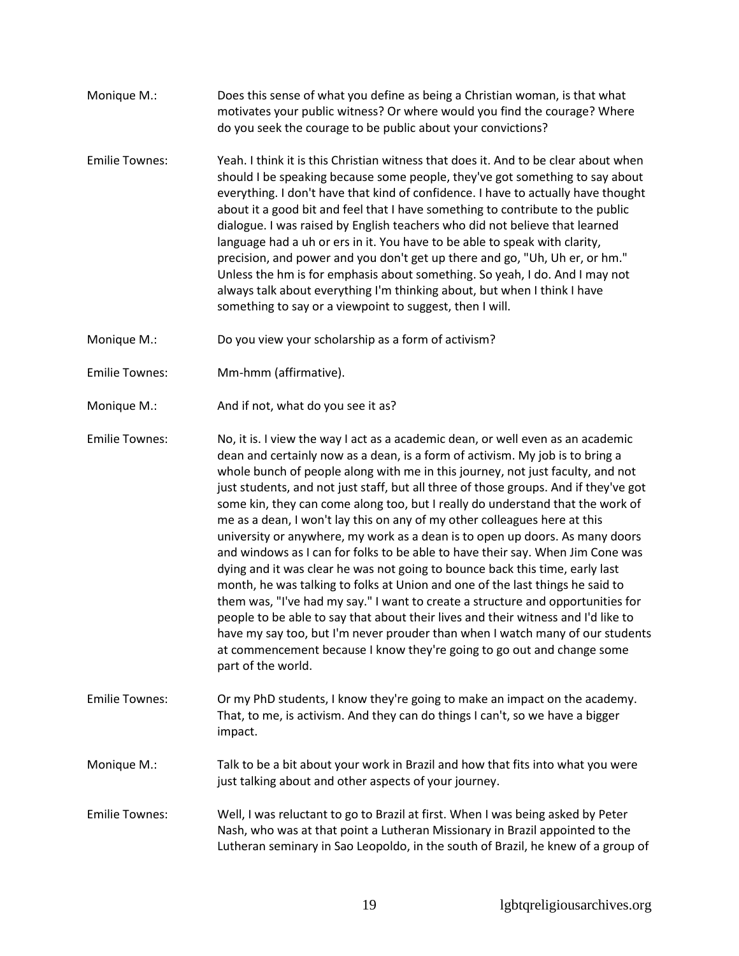- Monique M.: Does this sense of what you define as being a Christian woman, is that what motivates your public witness? Or where would you find the courage? Where do you seek the courage to be public about your convictions?
- Emilie Townes: Yeah. I think it is this Christian witness that does it. And to be clear about when should I be speaking because some people, they've got something to say about everything. I don't have that kind of confidence. I have to actually have thought about it a good bit and feel that I have something to contribute to the public dialogue. I was raised by English teachers who did not believe that learned language had a uh or ers in it. You have to be able to speak with clarity, precision, and power and you don't get up there and go, "Uh, Uh er, or hm." Unless the hm is for emphasis about something. So yeah, I do. And I may not always talk about everything I'm thinking about, but when I think I have something to say or a viewpoint to suggest, then I will.
- Monique M.: Do you view your scholarship as a form of activism?
- Emilie Townes: Mm-hmm (affirmative).
- Monique M.: And if not, what do you see it as?

Emilie Townes: No, it is. I view the way I act as a academic dean, or well even as an academic dean and certainly now as a dean, is a form of activism. My job is to bring a whole bunch of people along with me in this journey, not just faculty, and not just students, and not just staff, but all three of those groups. And if they've got some kin, they can come along too, but I really do understand that the work of me as a dean, I won't lay this on any of my other colleagues here at this university or anywhere, my work as a dean is to open up doors. As many doors and windows as I can for folks to be able to have their say. When Jim Cone was dying and it was clear he was not going to bounce back this time, early last month, he was talking to folks at Union and one of the last things he said to them was, "I've had my say." I want to create a structure and opportunities for people to be able to say that about their lives and their witness and I'd like to have my say too, but I'm never prouder than when I watch many of our students at commencement because I know they're going to go out and change some part of the world.

Emilie Townes: Or my PhD students, I know they're going to make an impact on the academy. That, to me, is activism. And they can do things I can't, so we have a bigger impact.

Monique M.: Talk to be a bit about your work in Brazil and how that fits into what you were just talking about and other aspects of your journey.

Emilie Townes: Well, I was reluctant to go to Brazil at first. When I was being asked by Peter Nash, who was at that point a Lutheran Missionary in Brazil appointed to the Lutheran seminary in Sao Leopoldo, in the south of Brazil, he knew of a group of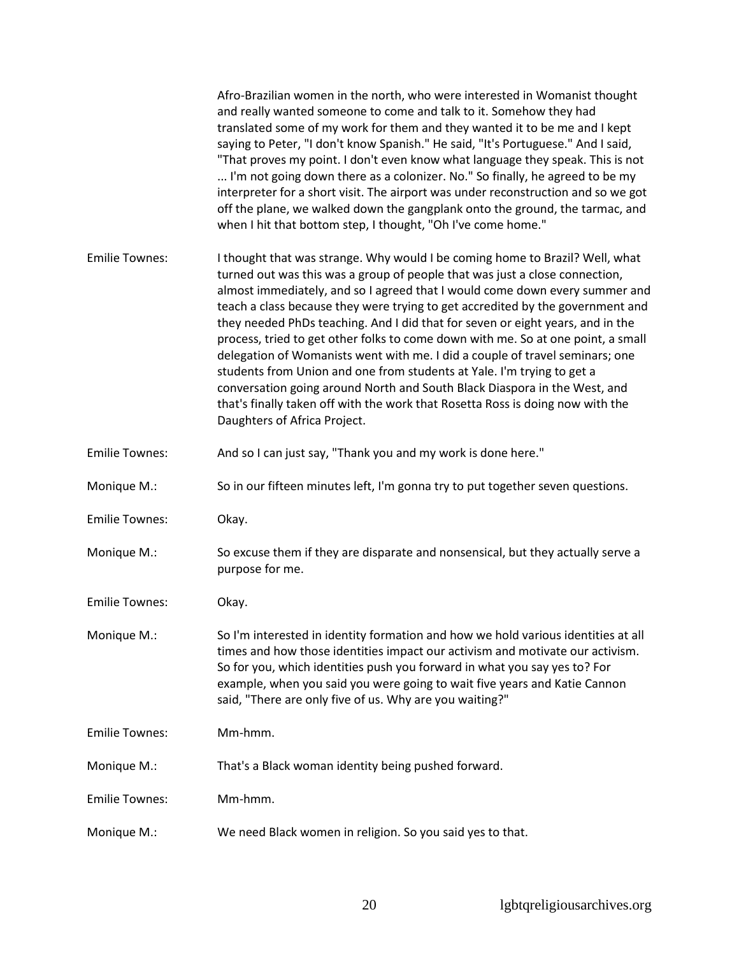|                       | Afro-Brazilian women in the north, who were interested in Womanist thought<br>and really wanted someone to come and talk to it. Somehow they had<br>translated some of my work for them and they wanted it to be me and I kept<br>saying to Peter, "I don't know Spanish." He said, "It's Portuguese." And I said,<br>"That proves my point. I don't even know what language they speak. This is not<br>I'm not going down there as a colonizer. No." So finally, he agreed to be my<br>interpreter for a short visit. The airport was under reconstruction and so we got<br>off the plane, we walked down the gangplank onto the ground, the tarmac, and<br>when I hit that bottom step, I thought, "Oh I've come home."                                                                                                                                   |
|-----------------------|-------------------------------------------------------------------------------------------------------------------------------------------------------------------------------------------------------------------------------------------------------------------------------------------------------------------------------------------------------------------------------------------------------------------------------------------------------------------------------------------------------------------------------------------------------------------------------------------------------------------------------------------------------------------------------------------------------------------------------------------------------------------------------------------------------------------------------------------------------------|
| <b>Emilie Townes:</b> | I thought that was strange. Why would I be coming home to Brazil? Well, what<br>turned out was this was a group of people that was just a close connection,<br>almost immediately, and so I agreed that I would come down every summer and<br>teach a class because they were trying to get accredited by the government and<br>they needed PhDs teaching. And I did that for seven or eight years, and in the<br>process, tried to get other folks to come down with me. So at one point, a small<br>delegation of Womanists went with me. I did a couple of travel seminars; one<br>students from Union and one from students at Yale. I'm trying to get a<br>conversation going around North and South Black Diaspora in the West, and<br>that's finally taken off with the work that Rosetta Ross is doing now with the<br>Daughters of Africa Project. |
| <b>Emilie Townes:</b> | And so I can just say, "Thank you and my work is done here."                                                                                                                                                                                                                                                                                                                                                                                                                                                                                                                                                                                                                                                                                                                                                                                                |
| Monique M.:           | So in our fifteen minutes left, I'm gonna try to put together seven questions.                                                                                                                                                                                                                                                                                                                                                                                                                                                                                                                                                                                                                                                                                                                                                                              |
| <b>Emilie Townes:</b> | Okay.                                                                                                                                                                                                                                                                                                                                                                                                                                                                                                                                                                                                                                                                                                                                                                                                                                                       |
| Monique M.:           | So excuse them if they are disparate and nonsensical, but they actually serve a<br>purpose for me.                                                                                                                                                                                                                                                                                                                                                                                                                                                                                                                                                                                                                                                                                                                                                          |
| <b>Emilie Townes:</b> | Okay.                                                                                                                                                                                                                                                                                                                                                                                                                                                                                                                                                                                                                                                                                                                                                                                                                                                       |
| Monique M.:           | So I'm interested in identity formation and how we hold various identities at all<br>times and how those identities impact our activism and motivate our activism.<br>So for you, which identities push you forward in what you say yes to? For<br>example, when you said you were going to wait five years and Katie Cannon<br>said, "There are only five of us. Why are you waiting?"                                                                                                                                                                                                                                                                                                                                                                                                                                                                     |
| <b>Emilie Townes:</b> | Mm-hmm.                                                                                                                                                                                                                                                                                                                                                                                                                                                                                                                                                                                                                                                                                                                                                                                                                                                     |
| Monique M.:           | That's a Black woman identity being pushed forward.                                                                                                                                                                                                                                                                                                                                                                                                                                                                                                                                                                                                                                                                                                                                                                                                         |
| <b>Emilie Townes:</b> | Mm-hmm.                                                                                                                                                                                                                                                                                                                                                                                                                                                                                                                                                                                                                                                                                                                                                                                                                                                     |
| Monique M.:           | We need Black women in religion. So you said yes to that.                                                                                                                                                                                                                                                                                                                                                                                                                                                                                                                                                                                                                                                                                                                                                                                                   |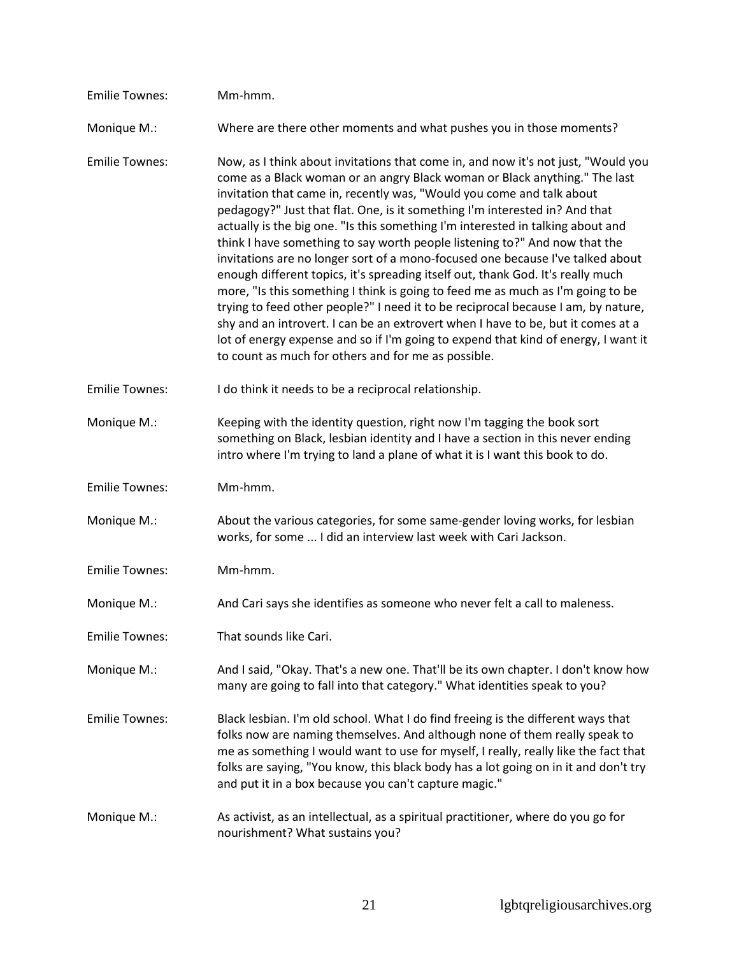| <b>Emilie Townes:</b> | Mm-hmm.                                                                                                                                                                                                                                                                                                                                                                                                                                                                                                                                                                                                                                                                                                                                                                                                                                                                                                                                                                                                                                                                |
|-----------------------|------------------------------------------------------------------------------------------------------------------------------------------------------------------------------------------------------------------------------------------------------------------------------------------------------------------------------------------------------------------------------------------------------------------------------------------------------------------------------------------------------------------------------------------------------------------------------------------------------------------------------------------------------------------------------------------------------------------------------------------------------------------------------------------------------------------------------------------------------------------------------------------------------------------------------------------------------------------------------------------------------------------------------------------------------------------------|
| Monique M.:           | Where are there other moments and what pushes you in those moments?                                                                                                                                                                                                                                                                                                                                                                                                                                                                                                                                                                                                                                                                                                                                                                                                                                                                                                                                                                                                    |
| <b>Emilie Townes:</b> | Now, as I think about invitations that come in, and now it's not just, "Would you<br>come as a Black woman or an angry Black woman or Black anything." The last<br>invitation that came in, recently was, "Would you come and talk about<br>pedagogy?" Just that flat. One, is it something I'm interested in? And that<br>actually is the big one. "Is this something I'm interested in talking about and<br>think I have something to say worth people listening to?" And now that the<br>invitations are no longer sort of a mono-focused one because I've talked about<br>enough different topics, it's spreading itself out, thank God. It's really much<br>more, "Is this something I think is going to feed me as much as I'm going to be<br>trying to feed other people?" I need it to be reciprocal because I am, by nature,<br>shy and an introvert. I can be an extrovert when I have to be, but it comes at a<br>lot of energy expense and so if I'm going to expend that kind of energy, I want it<br>to count as much for others and for me as possible. |
| <b>Emilie Townes:</b> | I do think it needs to be a reciprocal relationship.                                                                                                                                                                                                                                                                                                                                                                                                                                                                                                                                                                                                                                                                                                                                                                                                                                                                                                                                                                                                                   |
| Monique M.:           | Keeping with the identity question, right now I'm tagging the book sort<br>something on Black, lesbian identity and I have a section in this never ending<br>intro where I'm trying to land a plane of what it is I want this book to do.                                                                                                                                                                                                                                                                                                                                                                                                                                                                                                                                                                                                                                                                                                                                                                                                                              |
| <b>Emilie Townes:</b> | Mm-hmm.                                                                                                                                                                                                                                                                                                                                                                                                                                                                                                                                                                                                                                                                                                                                                                                                                                                                                                                                                                                                                                                                |
| Monique M.:           | About the various categories, for some same-gender loving works, for lesbian<br>works, for some  I did an interview last week with Cari Jackson.                                                                                                                                                                                                                                                                                                                                                                                                                                                                                                                                                                                                                                                                                                                                                                                                                                                                                                                       |
| <b>Emilie Townes:</b> | Mm-hmm.                                                                                                                                                                                                                                                                                                                                                                                                                                                                                                                                                                                                                                                                                                                                                                                                                                                                                                                                                                                                                                                                |
| Monique M.:           | And Cari says she identifies as someone who never felt a call to maleness.                                                                                                                                                                                                                                                                                                                                                                                                                                                                                                                                                                                                                                                                                                                                                                                                                                                                                                                                                                                             |
| <b>Emilie Townes:</b> | That sounds like Cari.                                                                                                                                                                                                                                                                                                                                                                                                                                                                                                                                                                                                                                                                                                                                                                                                                                                                                                                                                                                                                                                 |
| Monique M.:           | And I said, "Okay. That's a new one. That'll be its own chapter. I don't know how<br>many are going to fall into that category." What identities speak to you?                                                                                                                                                                                                                                                                                                                                                                                                                                                                                                                                                                                                                                                                                                                                                                                                                                                                                                         |
| <b>Emilie Townes:</b> | Black lesbian. I'm old school. What I do find freeing is the different ways that<br>folks now are naming themselves. And although none of them really speak to<br>me as something I would want to use for myself, I really, really like the fact that<br>folks are saying, "You know, this black body has a lot going on in it and don't try<br>and put it in a box because you can't capture magic."                                                                                                                                                                                                                                                                                                                                                                                                                                                                                                                                                                                                                                                                  |
| Monique M.:           | As activist, as an intellectual, as a spiritual practitioner, where do you go for<br>nourishment? What sustains you?                                                                                                                                                                                                                                                                                                                                                                                                                                                                                                                                                                                                                                                                                                                                                                                                                                                                                                                                                   |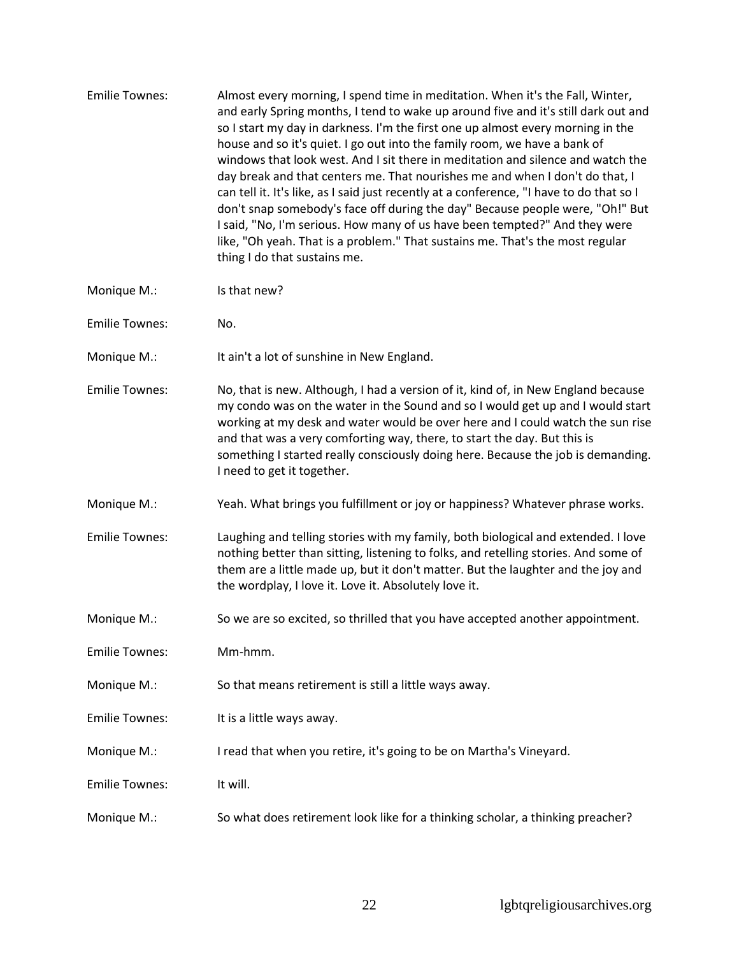| <b>Emilie Townes:</b> | Almost every morning, I spend time in meditation. When it's the Fall, Winter,<br>and early Spring months, I tend to wake up around five and it's still dark out and<br>so I start my day in darkness. I'm the first one up almost every morning in the<br>house and so it's quiet. I go out into the family room, we have a bank of<br>windows that look west. And I sit there in meditation and silence and watch the<br>day break and that centers me. That nourishes me and when I don't do that, I<br>can tell it. It's like, as I said just recently at a conference, "I have to do that so I<br>don't snap somebody's face off during the day" Because people were, "Oh!" But<br>I said, "No, I'm serious. How many of us have been tempted?" And they were<br>like, "Oh yeah. That is a problem." That sustains me. That's the most regular<br>thing I do that sustains me. |
|-----------------------|------------------------------------------------------------------------------------------------------------------------------------------------------------------------------------------------------------------------------------------------------------------------------------------------------------------------------------------------------------------------------------------------------------------------------------------------------------------------------------------------------------------------------------------------------------------------------------------------------------------------------------------------------------------------------------------------------------------------------------------------------------------------------------------------------------------------------------------------------------------------------------|
|-----------------------|------------------------------------------------------------------------------------------------------------------------------------------------------------------------------------------------------------------------------------------------------------------------------------------------------------------------------------------------------------------------------------------------------------------------------------------------------------------------------------------------------------------------------------------------------------------------------------------------------------------------------------------------------------------------------------------------------------------------------------------------------------------------------------------------------------------------------------------------------------------------------------|

- Monique M.: Is that new?
- Emilie Townes: No.
- Monique M.: It ain't a lot of sunshine in New England.
- Emilie Townes: No, that is new. Although, I had a version of it, kind of, in New England because my condo was on the water in the Sound and so I would get up and I would start working at my desk and water would be over here and I could watch the sun rise and that was a very comforting way, there, to start the day. But this is something I started really consciously doing here. Because the job is demanding. I need to get it together.
- Monique M.: Yeah. What brings you fulfillment or joy or happiness? Whatever phrase works.
- Emilie Townes: Laughing and telling stories with my family, both biological and extended. I love nothing better than sitting, listening to folks, and retelling stories. And some of them are a little made up, but it don't matter. But the laughter and the joy and the wordplay, I love it. Love it. Absolutely love it.
- Monique M.: So we are so excited, so thrilled that you have accepted another appointment.
- Emilie Townes: Mm-hmm.
- Monique M.: So that means retirement is still a little ways away.
- Emilie Townes: It is a little ways away.
- Monique M.: I read that when you retire, it's going to be on Martha's Vineyard.
- Emilie Townes: It will.
- Monique M.: So what does retirement look like for a thinking scholar, a thinking preacher?